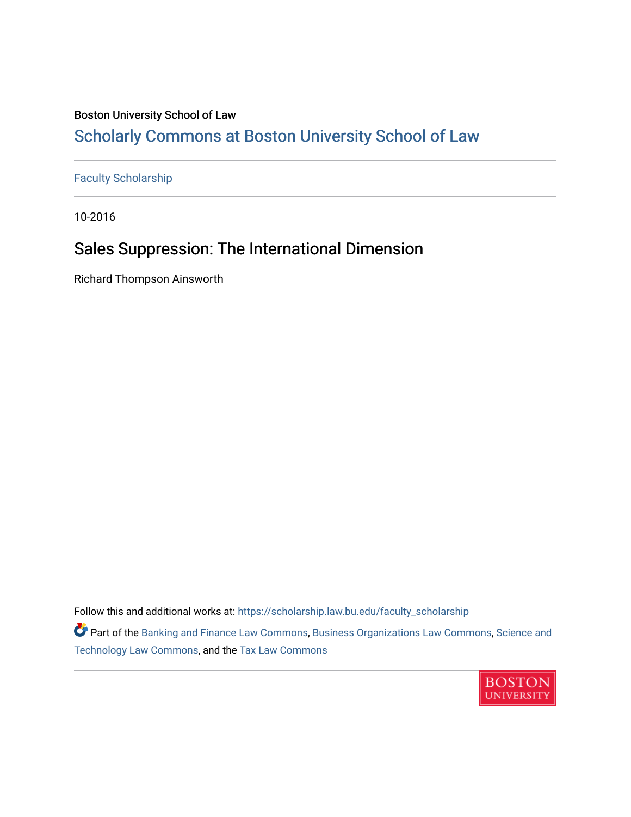# Boston University School of Law [Scholarly Commons at Boston University School of Law](https://scholarship.law.bu.edu/)

[Faculty Scholarship](https://scholarship.law.bu.edu/faculty_scholarship)

10-2016

# Sales Suppression: The International Dimension

Richard Thompson Ainsworth

Follow this and additional works at: [https://scholarship.law.bu.edu/faculty\\_scholarship](https://scholarship.law.bu.edu/faculty_scholarship?utm_source=scholarship.law.bu.edu%2Ffaculty_scholarship%2F1423&utm_medium=PDF&utm_campaign=PDFCoverPages)

**Part of the [Banking and Finance Law Commons,](http://network.bepress.com/hgg/discipline/833?utm_source=scholarship.law.bu.edu%2Ffaculty_scholarship%2F1423&utm_medium=PDF&utm_campaign=PDFCoverPages) [Business Organizations Law Commons](http://network.bepress.com/hgg/discipline/900?utm_source=scholarship.law.bu.edu%2Ffaculty_scholarship%2F1423&utm_medium=PDF&utm_campaign=PDFCoverPages), Science and** [Technology Law Commons,](http://network.bepress.com/hgg/discipline/875?utm_source=scholarship.law.bu.edu%2Ffaculty_scholarship%2F1423&utm_medium=PDF&utm_campaign=PDFCoverPages) and the [Tax Law Commons](http://network.bepress.com/hgg/discipline/898?utm_source=scholarship.law.bu.edu%2Ffaculty_scholarship%2F1423&utm_medium=PDF&utm_campaign=PDFCoverPages) 

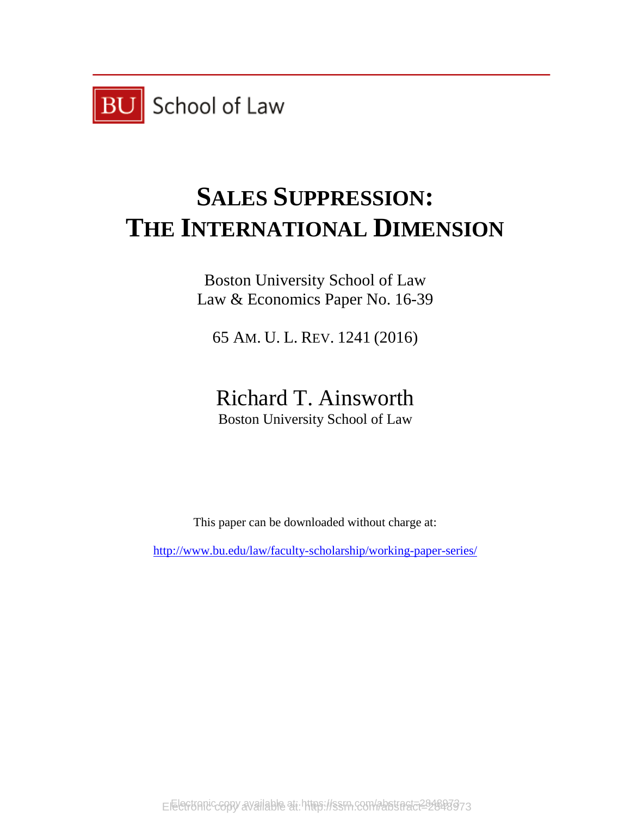

# **SALES SUPPRESSION: THE INTERNATIONAL DIMENSION**

Boston University School of Law Law & Economics Paper No. 16-39

65 AM. U. L. REV. 1241 (2016)

Richard T. Ainsworth Boston University School of Law

This paper can be downloaded without charge at:

<http://www.bu.edu/law/faculty-scholarship/working-paper-series/>

Electronic copy available at https://ssrn.com/abstract=2848873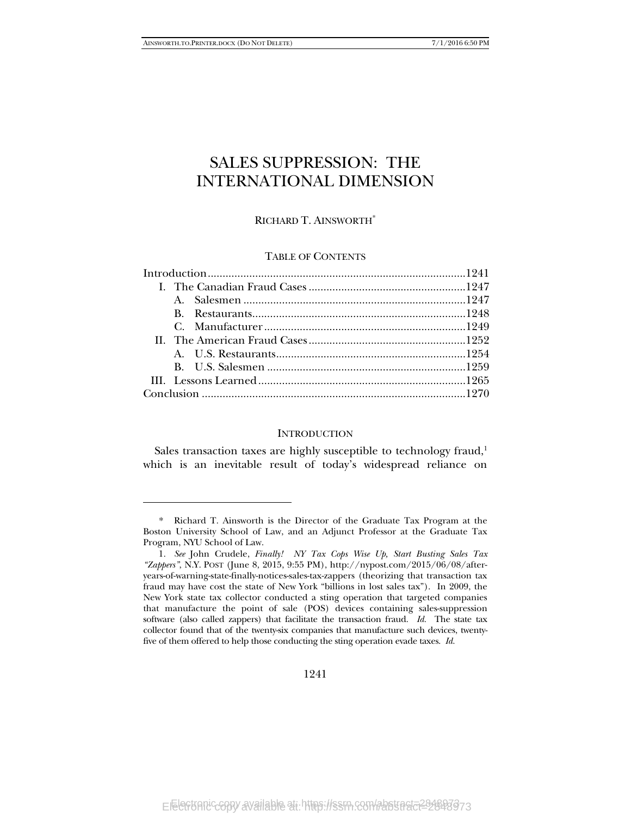-

## SALES SUPPRESSION: THE INTERNATIONAL DIMENSION

### RICHARD T. AINSWORTH\*

#### TABLE OF CONTENTS

#### **INTRODUCTION**

Sales transaction taxes are highly susceptible to technology fraud,<sup>1</sup> which is an inevitable result of today's widespread reliance on

 <sup>\*</sup> Richard T. Ainsworth is the Director of the Graduate Tax Program at the Boston University School of Law, and an Adjunct Professor at the Graduate Tax Program, NYU School of Law.

 <sup>1.</sup> *See* John Crudele, *Finally! NY Tax Cops Wise Up, Start Busting Sales Tax "Zappers"*, N.Y. POST (June 8, 2015, 9:55 PM), http://nypost.com/2015/06/08/afteryears-of-warning-state-finally-notices-sales-tax-zappers (theorizing that transaction tax fraud may have cost the state of New York "billions in lost sales tax"). In 2009, the New York state tax collector conducted a sting operation that targeted companies that manufacture the point of sale (POS) devices containing sales-suppression software (also called zappers) that facilitate the transaction fraud. *Id.* The state tax collector found that of the twenty-six companies that manufacture such devices, twentyfive of them offered to help those conducting the sting operation evade taxes. *Id.*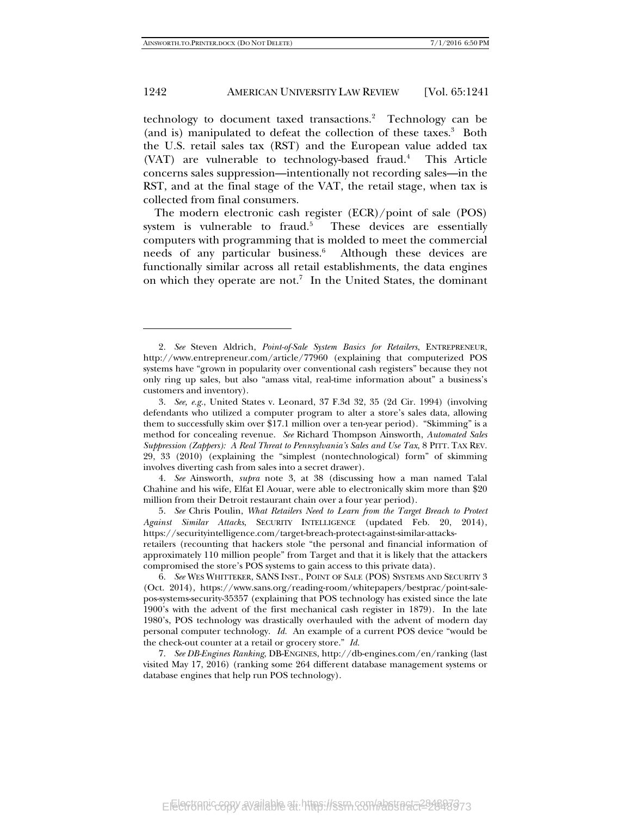j

#### 1242 AMERICAN UNIVERSITY LAW REVIEW [Vol. 65:1241]

technology to document taxed transactions.<sup>2</sup> Technology can be (and is) manipulated to defeat the collection of these taxes.3 Both the U.S. retail sales tax (RST) and the European value added tax (VAT) are vulnerable to technology-based fraud.<sup>4</sup> This Article concerns sales suppression—intentionally not recording sales—in the RST, and at the final stage of the VAT, the retail stage, when tax is collected from final consumers.

The modern electronic cash register (ECR)/point of sale (POS) system is vulnerable to fraud.<sup>5</sup> These devices are essentially computers with programming that is molded to meet the commercial needs of any particular business.<sup>6</sup> Although these devices are functionally similar across all retail establishments, the data engines on which they operate are not.<sup>7</sup> In the United States, the dominant

 4. *See* Ainsworth, *supra* note 3, at 38 (discussing how a man named Talal Chahine and his wife, Elfat El Aouar, were able to electronically skim more than \$20 million from their Detroit restaurant chain over a four year period).

 5. *See* Chris Poulin, *What Retailers Need to Learn from the Target Breach to Protect Against Similar Attacks*, SECURITY INTELLIGENCE (updated Feb. 20, 2014), https://securityintelligence.com/target-breach-protect-against-similar-attacks-

retailers (recounting that hackers stole "the personal and financial information of approximately 110 million people" from Target and that it is likely that the attackers compromised the store's POS systems to gain access to this private data).

 6. *See* WES WHITTEKER, SANS INST., POINT OF SALE (POS) SYSTEMS AND SECURITY 3 (Oct. 2014), https://www.sans.org/reading-room/whitepapers/bestprac/point-salepos-systems-security-35357 (explaining that POS technology has existed since the late 1900's with the advent of the first mechanical cash register in 1879). In the late 1980's, POS technology was drastically overhauled with the advent of modern day personal computer technology. *Id.* An example of a current POS device "would be the check-out counter at a retail or grocery store." *Id.*

 7. *See DB-Engines Ranking*, DB-ENGINES, http://db-engines.com/en/ranking (last visited May 17, 2016) (ranking some 264 different database management systems or database engines that help run POS technology).

 <sup>2.</sup> *See* Steven Aldrich, *Point-of-Sale System Basics for Retailers*, ENTREPRENEUR, http://www.entrepreneur.com/article/77960 (explaining that computerized POS systems have "grown in popularity over conventional cash registers" because they not only ring up sales, but also "amass vital, real-time information about" a business's customers and inventory).

 <sup>3.</sup> *See, e.g.*, United States v. Leonard, 37 F.3d 32, 35 (2d Cir. 1994) (involving defendants who utilized a computer program to alter a store's sales data, allowing them to successfully skim over \$17.1 million over a ten-year period). "Skimming" is a method for concealing revenue. *See* Richard Thompson Ainsworth, *Automated Sales Suppression (Zappers): A Real Threat to Pennsylvania's Sales and Use Tax*, 8 PITT. TAX REV. 29, 33 (2010) (explaining the "simplest (nontechnological) form" of skimming involves diverting cash from sales into a secret drawer).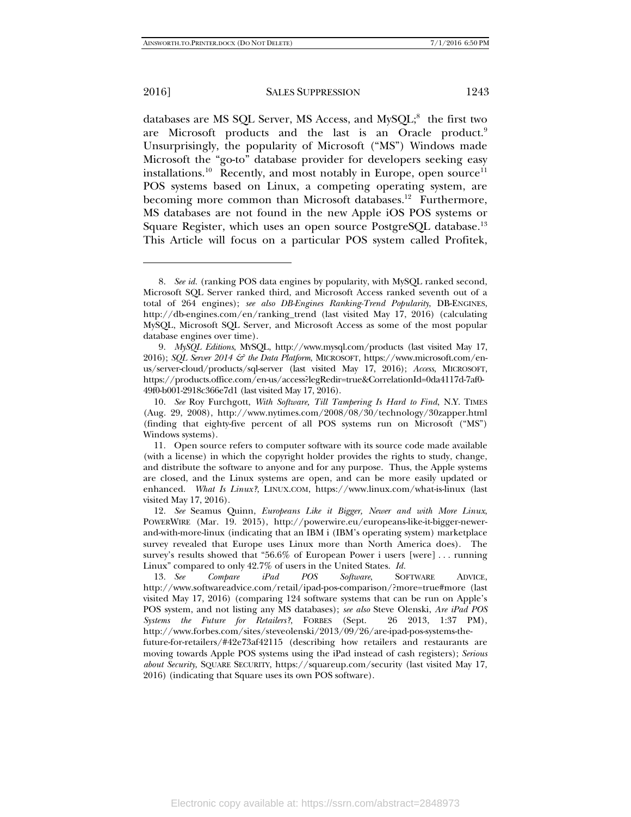-

2016] SALES SUPPRESSION 1243

databases are MS SQL Server, MS Access, and MySQL;<sup>8</sup> the first two are Microsoft products and the last is an Oracle product.<sup>9</sup> Unsurprisingly, the popularity of Microsoft ("MS") Windows made Microsoft the "go-to" database provider for developers seeking easy installations.<sup>10</sup> Recently, and most notably in Europe, open source<sup>11</sup> POS systems based on Linux, a competing operating system, are becoming more common than Microsoft databases.<sup>12</sup> Furthermore, MS databases are not found in the new Apple iOS POS systems or Square Register, which uses an open source PostgreSQL database.<sup>13</sup> This Article will focus on a particular POS system called Profitek,

 <sup>8.</sup> *See id.* (ranking POS data engines by popularity, with MySQL ranked second, Microsoft SQL Server ranked third, and Microsoft Access ranked seventh out of a total of 264 engines); *see also DB-Engines Ranking-Trend Popularity*, DB-ENGINES, http://db-engines.com/en/ranking\_trend (last visited May 17, 2016) (calculating MySQL, Microsoft SQL Server, and Microsoft Access as some of the most popular database engines over time).

 <sup>9.</sup> *MySQL Editions*, MYSQL, http://www.mysql.com/products (last visited May 17, 2016); *SQL Server 2014 & the Data Platform*, MICROSOFT, https://www.microsoft.com/enus/server-cloud/products/sql-server (last visited May 17, 2016); *Access*, MICROSOFT, https://products.office.com/en-us/access?legRedir=true&CorrelationId=0da4117d-7af0- 49f0-b001-2918c366e7d1 (last visited May 17, 2016).

 <sup>10.</sup> *See* Roy Furchgott, *With Software, Till Tampering Is Hard to Find*, N.Y. TIMES (Aug. 29, 2008), http://www.nytimes.com/2008/08/30/technology/30zapper.html (finding that eighty-five percent of all POS systems run on Microsoft ("MS") Windows systems).

 <sup>11.</sup> Open source refers to computer software with its source code made available (with a license) in which the copyright holder provides the rights to study, change, and distribute the software to anyone and for any purpose. Thus, the Apple systems are closed, and the Linux systems are open, and can be more easily updated or enhanced. *What Is Linux?*, LINUX.COM, https://www.linux.com/what-is-linux (last visited May 17, 2016).

 <sup>12.</sup> *See* Seamus Quinn, *Europeans Like it Bigger, Newer and with More Linux*, POWERWIRE (Mar. 19. 2015), http://powerwire.eu/europeans-like-it-bigger-newerand-with-more-linux (indicating that an IBM i (IBM's operating system) marketplace survey revealed that Europe uses Linux more than North America does). The survey's results showed that "56.6% of European Power i users [were] . . . running Linux" compared to only 42.7% of users in the United States. *Id.*

 <sup>13.</sup> *See Compare iPad POS Software*, SOFTWARE ADVICE, http://www.softwareadvice.com/retail/ipad-pos-comparison/?more=true#more (last visited May 17, 2016) (comparing 124 software systems that can be run on Apple's POS system, and not listing any MS databases); *see also* Steve Olenski, *Are iPad POS Systems the Future for Retailers?*, FORBES (Sept. 26 2013, 1:37 PM), http://www.forbes.com/sites/steveolenski/2013/09/26/are-ipad-pos-systems-the-

future-for-retailers/#42e73af42115 (describing how retailers and restaurants are moving towards Apple POS systems using the iPad instead of cash registers); *Serious about Security*, SQUARE SECURITY, https://squareup.com/security (last visited May 17, 2016) (indicating that Square uses its own POS software).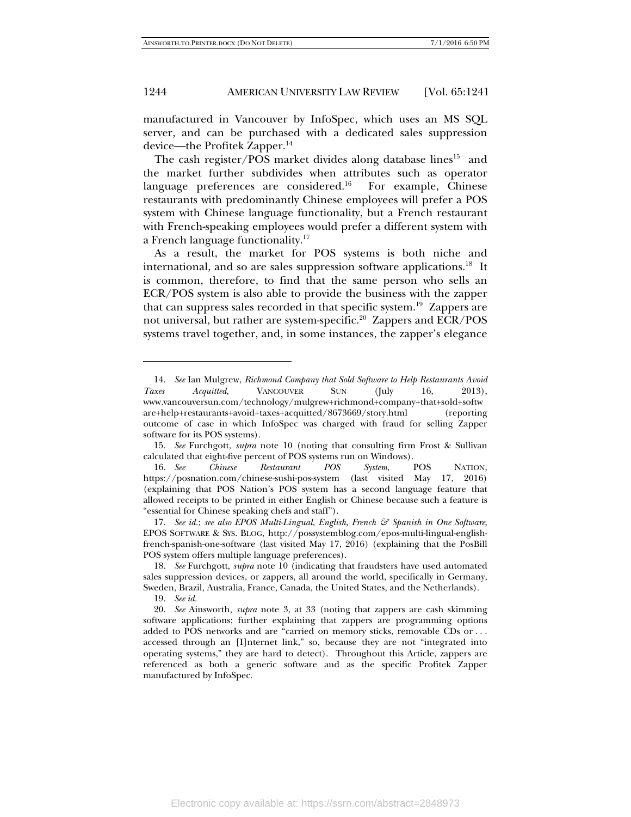manufactured in Vancouver by InfoSpec, which uses an MS SQL server, and can be purchased with a dedicated sales suppression device—the Profitek Zapper.14

The cash register/POS market divides along database lines<sup>15</sup> and the market further subdivides when attributes such as operator language preferences are considered.<sup>16</sup> For example, Chinese restaurants with predominantly Chinese employees will prefer a POS system with Chinese language functionality, but a French restaurant with French-speaking employees would prefer a different system with a French language functionality.<sup>17</sup>

As a result, the market for POS systems is both niche and international, and so are sales suppression software applications.<sup>18</sup> It is common, therefore, to find that the same person who sells an ECR/POS system is also able to provide the business with the zapper that can suppress sales recorded in that specific system.19 Zappers are not universal, but rather are system-specific.<sup>20</sup> Zappers and ECR/POS systems travel together, and, in some instances, the zapper's elegance

19. *See id.*

 <sup>14.</sup> *See* Ian Mulgrew, *Richmond Company that Sold Software to Help Restaurants Avoid Taxes Acquitted*, VANCOUVER SUN (July 16, 2013), www.vancouversun.com/technology/mulgrew+richmond+company+that+sold+softw are+help+restaurants+avoid+taxes+acquitted/8673669/story.html (reporting outcome of case in which InfoSpec was charged with fraud for selling Zapper software for its POS systems).

 <sup>15.</sup> *See* Furchgott, *supra* note 10 (noting that consulting firm Frost & Sullivan calculated that eight-five percent of POS systems run on Windows).

 <sup>16.</sup> *See Chinese Restaurant POS System*, POS NATION, https://posnation.com/chinese-sushi-pos-system (last visited May 17, 2016) (explaining that POS Nation's POS system has a second language feature that allowed receipts to be printed in either English or Chinese because such a feature is "essential for Chinese speaking chefs and staff").

 <sup>17.</sup> *See id.*; *see also EPOS Multi-Lingual, English, French & Spanish in One Software*, EPOS SOFTWARE & SYS. BLOG, http://possystemblog.com/epos-multi-lingual-englishfrench-spanish-one-software (last visited May 17, 2016) (explaining that the PosBill POS system offers multiple language preferences).

 <sup>18.</sup> *See* Furchgott, *supra* note 10 (indicating that fraudsters have used automated sales suppression devices, or zappers, all around the world, specifically in Germany, Sweden, Brazil, Australia, France, Canada, the United States, and the Netherlands).

 <sup>20.</sup> *See* Ainsworth, *supra* note 3, at 33 (noting that zappers are cash skimming software applications; further explaining that zappers are programming options added to POS networks and are "carried on memory sticks, removable CDs or . . . accessed through an [I]nternet link," so, because they are not "integrated into operating systems," they are hard to detect). Throughout this Article, zappers are referenced as both a generic software and as the specific Profitek Zapper manufactured by InfoSpec.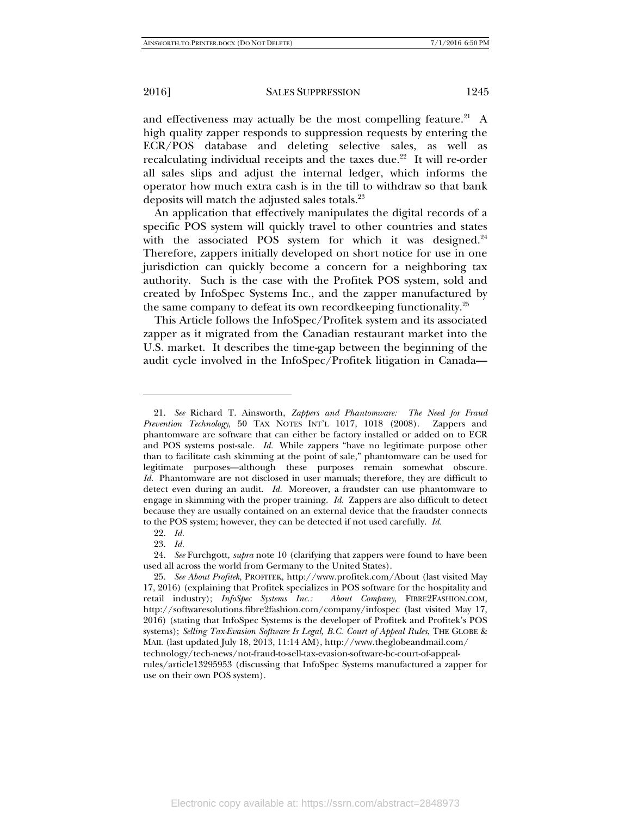and effectiveness may actually be the most compelling feature.<sup>21</sup> A high quality zapper responds to suppression requests by entering the ECR/POS database and deleting selective sales, as well as recalculating individual receipts and the taxes due. $22$  It will re-order all sales slips and adjust the internal ledger, which informs the operator how much extra cash is in the till to withdraw so that bank deposits will match the adjusted sales totals.23

An application that effectively manipulates the digital records of a specific POS system will quickly travel to other countries and states with the associated POS system for which it was designed. $24$ Therefore, zappers initially developed on short notice for use in one jurisdiction can quickly become a concern for a neighboring tax authority. Such is the case with the Profitek POS system, sold and created by InfoSpec Systems Inc., and the zapper manufactured by the same company to defeat its own recordkeeping functionality.<sup>25</sup>

This Article follows the InfoSpec/Profitek system and its associated zapper as it migrated from the Canadian restaurant market into the U.S. market. It describes the time-gap between the beginning of the audit cycle involved in the InfoSpec/Profitek litigation in Canada—

 <sup>21.</sup> *See* Richard T. Ainsworth, *Zappers and Phantomware: The Need for Fraud Prevention Technology*, 50 TAX NOTES INT'L 1017, 1018 (2008). Zappers and phantomware are software that can either be factory installed or added on to ECR and POS systems post-sale. *Id.* While zappers "have no legitimate purpose other than to facilitate cash skimming at the point of sale," phantomware can be used for legitimate purposes—although these purposes remain somewhat obscure. *Id.* Phantomware are not disclosed in user manuals; therefore, they are difficult to detect even during an audit. *Id.* Moreover, a fraudster can use phantomware to engage in skimming with the proper training. *Id.* Zappers are also difficult to detect because they are usually contained on an external device that the fraudster connects to the POS system; however, they can be detected if not used carefully. *Id.* 

 <sup>22.</sup> *Id.* 

 <sup>23.</sup> *Id.* 

 <sup>24.</sup> *See* Furchgott, *supra* note 10 (clarifying that zappers were found to have been used all across the world from Germany to the United States).

 <sup>25.</sup> *See About Profitek*, PROFITEK, http://www.profitek.com/About (last visited May 17, 2016) (explaining that Profitek specializes in POS software for the hospitality and retail industry); *InfoSpec Systems Inc.: About Company*, FIBRE2FASHION.COM, http://softwaresolutions.fibre2fashion.com/company/infospec (last visited May 17, 2016) (stating that InfoSpec Systems is the developer of Profitek and Profitek's POS systems); *Selling Tax-Evasion Software Is Legal, B.C. Court of Appeal Rules*, THE GLOBE & MAIL (last updated July 18, 2013, 11:14 AM), http://www.theglobeandmail.com/ technology/tech-news/not-fraud-to-sell-tax-evasion-software-bc-court-of-appealrules/article13295953 (discussing that InfoSpec Systems manufactured a zapper for use on their own POS system).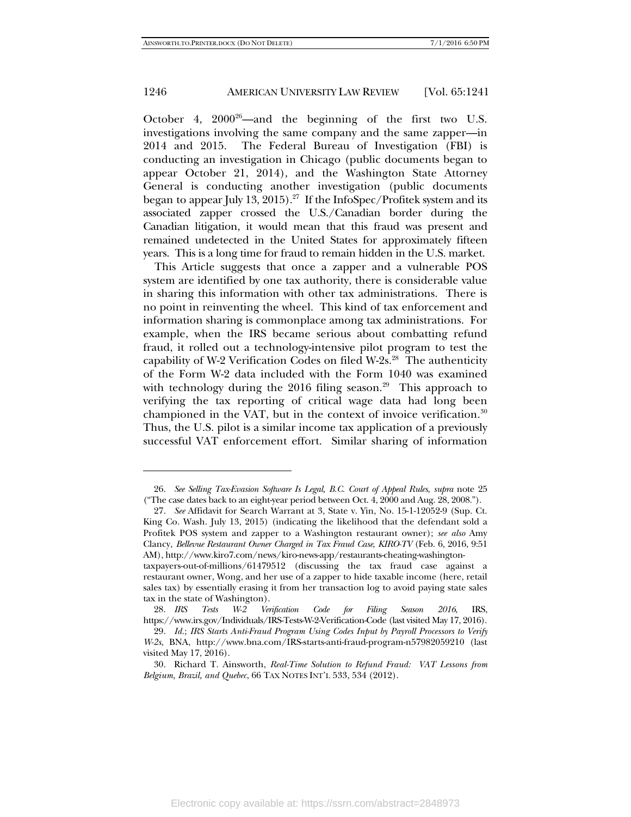-

#### 1246 AMERICAN UNIVERSITY LAW REVIEW [Vol. 65:1241]

October 4,  $2000^{26}$ —and the beginning of the first two U.S. investigations involving the same company and the same zapper—in 2014 and 2015. The Federal Bureau of Investigation (FBI) is conducting an investigation in Chicago (public documents began to appear October 21, 2014), and the Washington State Attorney General is conducting another investigation (public documents began to appear July 13, 2015).<sup>27</sup> If the InfoSpec/Profitek system and its associated zapper crossed the U.S./Canadian border during the Canadian litigation, it would mean that this fraud was present and remained undetected in the United States for approximately fifteen years. This is a long time for fraud to remain hidden in the U.S. market.

This Article suggests that once a zapper and a vulnerable POS system are identified by one tax authority, there is considerable value in sharing this information with other tax administrations. There is no point in reinventing the wheel. This kind of tax enforcement and information sharing is commonplace among tax administrations. For example, when the IRS became serious about combatting refund fraud, it rolled out a technology-intensive pilot program to test the capability of W-2 Verification Codes on filed W-2s. $^{28}$  The authenticity of the Form W-2 data included with the Form 1040 was examined with technology during the 2016 filing season.<sup>29</sup> This approach to verifying the tax reporting of critical wage data had long been championed in the VAT, but in the context of invoice verification. $30$ Thus, the U.S. pilot is a similar income tax application of a previously successful VAT enforcement effort. Similar sharing of information

 <sup>26.</sup> *See Selling Tax-Evasion Software Is Legal, B.C. Court of Appeal Rules*, *supra* note 25 ("The case dates back to an eight-year period between Oct. 4, 2000 and Aug. 28, 2008.").

 <sup>27.</sup> *See* Affidavit for Search Warrant at 3, State v. Yin, No. 15-1-12052-9 (Sup. Ct. King Co. Wash. July 13, 2015) (indicating the likelihood that the defendant sold a Profitek POS system and zapper to a Washington restaurant owner); *see also* Amy Clancy, *Bellevue Restaurant Owner Charged in Tax Fraud Case*, *KIRO-TV* (Feb. 6, 2016, 9:51 AM), http://www.kiro7.com/news/kiro-news-app/restaurants-cheating-washingtontaxpayers-out-of-millions/61479512 (discussing the tax fraud case against a

restaurant owner, Wong, and her use of a zapper to hide taxable income (here, retail sales tax) by essentially erasing it from her transaction log to avoid paying state sales tax in the state of Washington).

 <sup>28.</sup> *IRS Tests W-2 Verification Code for Filing Season 2016*, IRS, https://www.irs.gov/Individuals/IRS-Tests-W-2-Verification-Code (last visited May 17, 2016).

 <sup>29.</sup> *Id.*; *IRS Starts Anti-Fraud Program Using Codes Input by Payroll Processors to Verify W-2s*, BNA, http://www.bna.com/IRS-starts-anti-fraud-program-n57982059210 (last visited May 17, 2016).

 <sup>30.</sup> Richard T. Ainsworth, *Real-Time Solution to Refund Fraud: VAT Lessons from Belgium, Brazil, and Quebec*, 66 TAX NOTES INT'L 533, 534 (2012).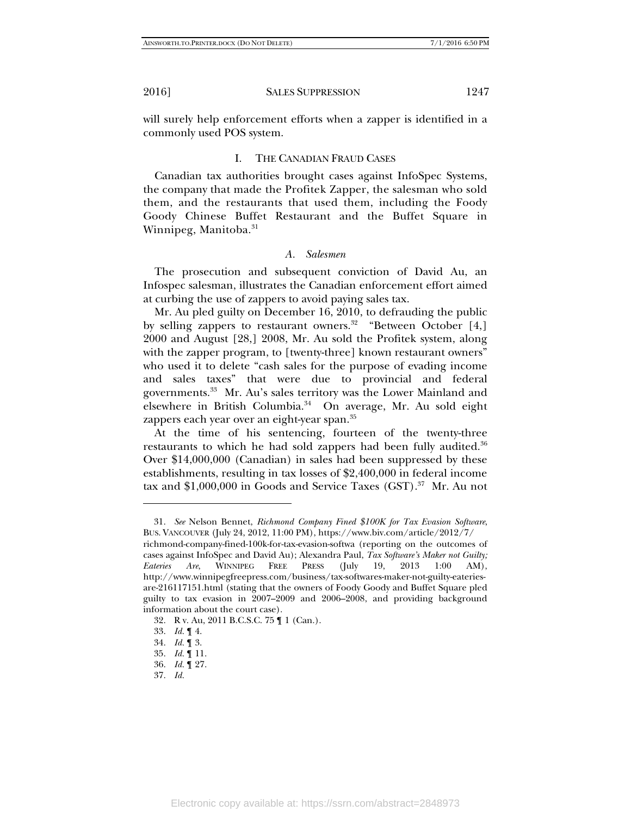will surely help enforcement efforts when a zapper is identified in a commonly used POS system.

#### I. THE CANADIAN FRAUD CASES

Canadian tax authorities brought cases against InfoSpec Systems, the company that made the Profitek Zapper, the salesman who sold them, and the restaurants that used them, including the Foody Goody Chinese Buffet Restaurant and the Buffet Square in Winnipeg, Manitoba.<sup>31</sup>

#### *A. Salesmen*

The prosecution and subsequent conviction of David Au, an Infospec salesman, illustrates the Canadian enforcement effort aimed at curbing the use of zappers to avoid paying sales tax.

Mr. Au pled guilty on December 16, 2010, to defrauding the public by selling zappers to restaurant owners.<sup>32</sup> "Between October [4,] 2000 and August [28,] 2008, Mr. Au sold the Profitek system, along with the zapper program, to [twenty-three] known restaurant owners" who used it to delete "cash sales for the purpose of evading income and sales taxes" that were due to provincial and federal governments.33 Mr. Au's sales territory was the Lower Mainland and elsewhere in British Columbia.<sup>34</sup> On average, Mr. Au sold eight zappers each year over an eight-year span.<sup>35</sup>

At the time of his sentencing, fourteen of the twenty-three restaurants to which he had sold zappers had been fully audited.<sup>36</sup> Over \$14,000,000 (Canadian) in sales had been suppressed by these establishments, resulting in tax losses of \$2,400,000 in federal income tax and \$1,000,000 in Goods and Service Taxes (GST).<sup>37</sup> Mr. Au not

 <sup>31.</sup> *See* Nelson Bennet, *Richmond Company Fined \$100K for Tax Evasion Software*, BUS. VANCOUVER (July 24, 2012, 11:00 PM), https://www.biv.com/article/2012/7/

richmond-company-fined-100k-for-tax-evasion-softwa (reporting on the outcomes of cases against InfoSpec and David Au); Alexandra Paul, *Tax Software's Maker not Guilty; Eateries Are*, WINNIPEG FREE PRESS (July 19, 2013 1:00 AM), http://www.winnipegfreepress.com/business/tax-softwares-maker-not-guilty-eateriesare-216117151.html (stating that the owners of Foody Goody and Buffet Square pled guilty to tax evasion in 2007–2009 and 2006–2008, and providing background information about the court case).

 <sup>32.</sup> R v. Au, 2011 B.C.S.C. 75 ¶ 1 (Can.).

 <sup>33.</sup> *Id.* ¶ 4.

 <sup>34.</sup> *Id.* ¶ 3.

 <sup>35.</sup> *Id.* ¶ 11.

 <sup>36.</sup> *Id.* ¶ 27.

 <sup>37.</sup> *Id.*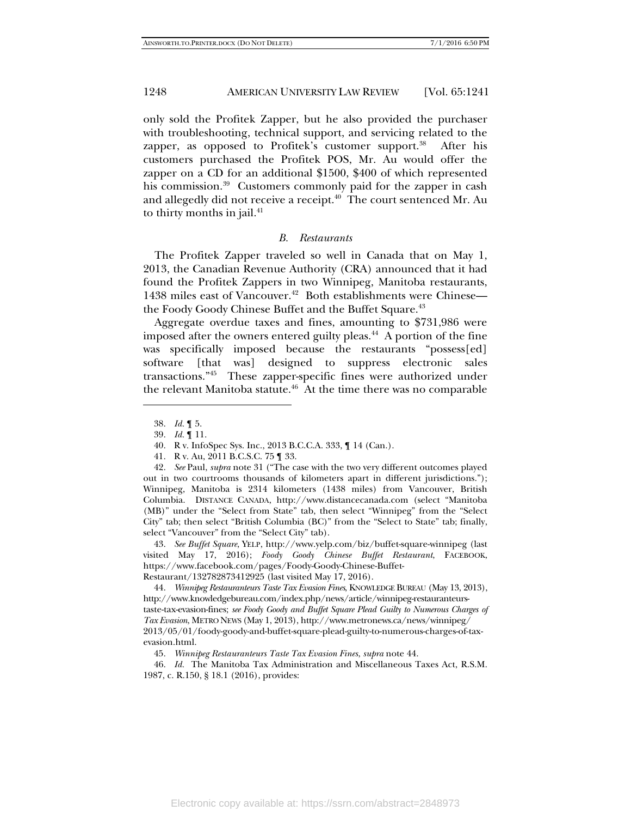only sold the Profitek Zapper, but he also provided the purchaser with troubleshooting, technical support, and servicing related to the zapper, as opposed to Profitek's customer support.<sup>38</sup> After his customers purchased the Profitek POS, Mr. Au would offer the zapper on a CD for an additional \$1500, \$400 of which represented his commission.<sup>39</sup> Customers commonly paid for the zapper in cash and allegedly did not receive a receipt.<sup>40</sup> The court sentenced Mr. Au to thirty months in jail.<sup>41</sup>

#### *B. Restaurants*

The Profitek Zapper traveled so well in Canada that on May 1, 2013, the Canadian Revenue Authority (CRA) announced that it had found the Profitek Zappers in two Winnipeg, Manitoba restaurants, 1438 miles east of Vancouver.<sup>42</sup> Both establishments were Chinese the Foody Goody Chinese Buffet and the Buffet Square.<sup>43</sup>

Aggregate overdue taxes and fines, amounting to \$731,986 were imposed after the owners entered guilty pleas. $44$  A portion of the fine was specifically imposed because the restaurants "possess[ed] software [that was] designed to suppress electronic sales transactions."45 These zapper-specific fines were authorized under the relevant Manitoba statute.<sup>46</sup> At the time there was no comparable

-

 43. *See Buffet Square*, YELP, http://www.yelp.com/biz/buffet-square-winnipeg (last visited May 17, 2016); *Foody Goody Chinese Buffet Restaurant*, FACEBOOK, https://www.facebook.com/pages/Foody-Goody-Chinese-Buffet-Restaurant/132782873412925 (last visited May 17, 2016).

 44. *Winnipeg Restauranteurs Taste Tax Evasion Fines*, KNOWLEDGE BUREAU (May 13, 2013), http://www.knowledgebureau.com/index.php/news/article/winnipeg-restauranteurstaste-tax-evasion-fines; *see Foody Goody and Buffet Square Plead Guilty to Numerous Charges of Tax Evasion*, METRO NEWS (May 1, 2013), http://www.metronews.ca/news/winnipeg/ 2013/05/01/foody-goody-and-buffet-square-plead-guilty-to-numerous-charges-of-taxevasion.html.

 46. *Id.* The Manitoba Tax Administration and Miscellaneous Taxes Act, R.S.M. 1987, c. R.150, § 18.1 (2016), provides:

 <sup>38.</sup> *Id.* ¶ 5.

 <sup>39.</sup> *Id.* ¶ 11.

 <sup>40.</sup> R v. InfoSpec Sys. Inc., 2013 B.C.C.A. 333, ¶ 14 (Can.).

 <sup>41.</sup> R v. Au, 2011 B.C.S.C. 75 ¶ 33.

 <sup>42.</sup> *See* Paul, *supra* note 31 ("The case with the two very different outcomes played out in two courtrooms thousands of kilometers apart in different jurisdictions."); Winnipeg, Manitoba is 2314 kilometers (1438 miles) from Vancouver, British Columbia. DISTANCE CANADA, http://www.distancecanada.com (select "Manitoba (MB)" under the "Select from State" tab, then select "Winnipeg" from the "Select City" tab; then select "British Columbia (BC)" from the "Select to State" tab; finally, select "Vancouver" from the "Select City" tab).

 <sup>45.</sup> *Winnipeg Restauranteurs Taste Tax Evasion Fines*, *supra* note 44.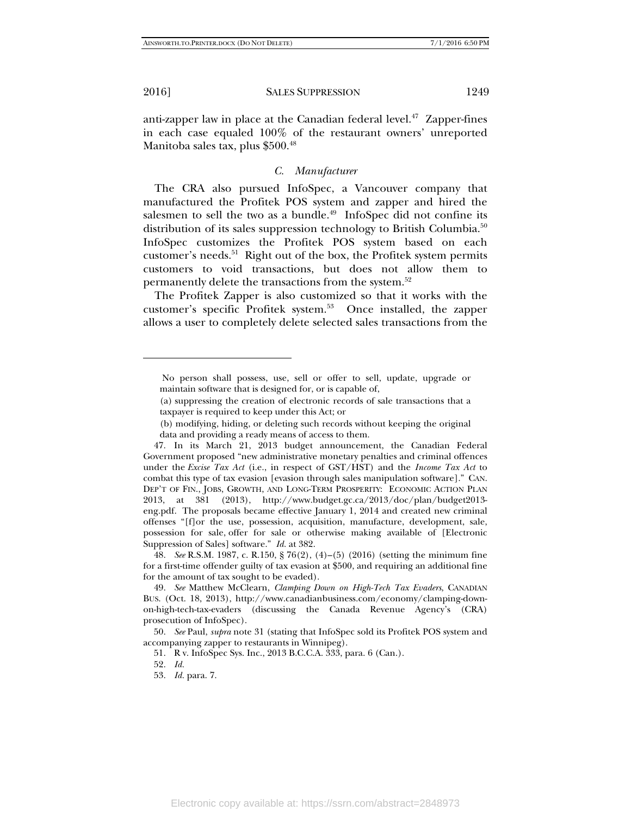j

2016] SALES SUPPRESSION 1249

anti-zapper law in place at the Canadian federal level. $47$  Zapper-fines in each case equaled 100% of the restaurant owners' unreported Manitoba sales tax, plus \$500.<sup>48</sup>

#### *C. Manufacturer*

The CRA also pursued InfoSpec, a Vancouver company that manufactured the Profitek POS system and zapper and hired the salesmen to sell the two as a bundle.<sup>49</sup> InfoSpec did not confine its distribution of its sales suppression technology to British Columbia.<sup>50</sup> InfoSpec customizes the Profitek POS system based on each customer's needs.<sup>51</sup> Right out of the box, the Profitek system permits customers to void transactions, but does not allow them to permanently delete the transactions from the system.<sup>52</sup>

The Profitek Zapper is also customized so that it works with the customer's specific Profitek system.53 Once installed, the zapper allows a user to completely delete selected sales transactions from the

 48. *See* R.S.M. 1987, c. R.150, § 76(2), (4)–(5) (2016) (setting the minimum fine for a first-time offender guilty of tax evasion at \$500, and requiring an additional fine for the amount of tax sought to be evaded).

No person shall possess, use, sell or offer to sell, update, upgrade or maintain software that is designed for, or is capable of,

<sup>(</sup>a) suppressing the creation of electronic records of sale transactions that a taxpayer is required to keep under this Act; or

<sup>(</sup>b) modifying, hiding, or deleting such records without keeping the original data and providing a ready means of access to them.

 <sup>47.</sup> In its March 21, 2013 budget announcement, the Canadian Federal Government proposed "new administrative monetary penalties and criminal offences under the *Excise Tax Act* (i.e., in respect of GST/HST) and the *Income Tax Act* to combat this type of tax evasion [evasion through sales manipulation software]." CAN. DEP'T OF FIN., JOBS, GROWTH, AND LONG-TERM PROSPERITY: ECONOMIC ACTION PLAN 2013, at 381 (2013), http://www.budget.gc.ca/2013/doc/plan/budget2013 eng.pdf. The proposals became effective January 1, 2014 and created new criminal offenses "[f]or the use, possession, acquisition, manufacture, development, sale, possession for sale, offer for sale or otherwise making available of [Electronic Suppression of Sales] software." *Id.* at 382.

 <sup>49.</sup> *See* Matthew McClearn, *Clamping Down on High-Tech Tax Evaders*, CANADIAN BUS. (Oct. 18, 2013), http://www.canadianbusiness.com/economy/clamping-downon-high-tech-tax-evaders (discussing the Canada Revenue Agency's (CRA) prosecution of InfoSpec).

 <sup>50.</sup> *See* Paul, *supra* note 31 (stating that InfoSpec sold its Profitek POS system and accompanying zapper to restaurants in Winnipeg).

 <sup>51.</sup> R v. InfoSpec Sys. Inc., 2013 B.C.C.A. 333, para. 6 (Can.).

 <sup>52.</sup> *Id.*

 <sup>53.</sup> *Id.* para. 7.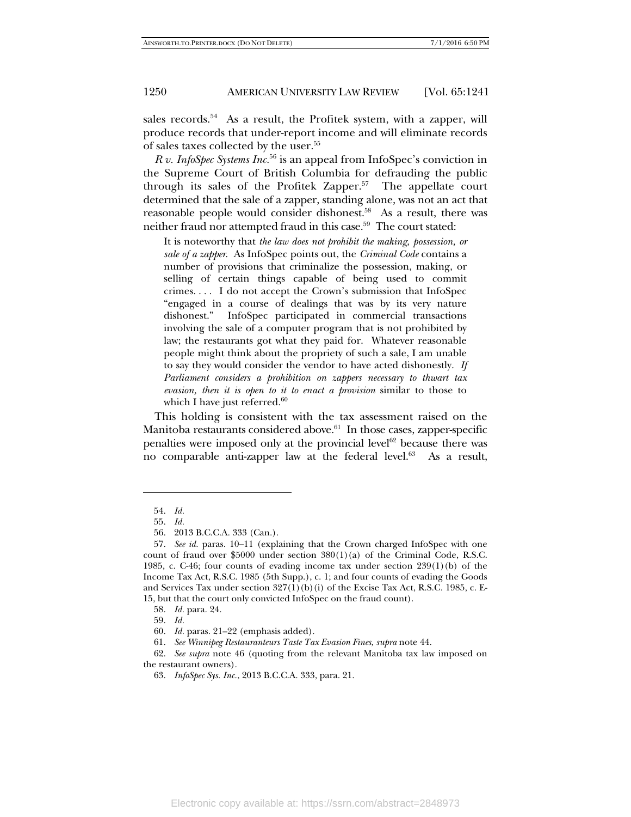sales records.<sup>54</sup> As a result, the Profitek system, with a zapper, will produce records that under-report income and will eliminate records of sales taxes collected by the user.<sup>55</sup>

*R v. InfoSpec Systems Inc.*56 is an appeal from InfoSpec's conviction in the Supreme Court of British Columbia for defrauding the public through its sales of the Profitek Zapper. $57$  The appellate court determined that the sale of a zapper, standing alone, was not an act that reasonable people would consider dishonest.<sup>58</sup> As a result, there was neither fraud nor attempted fraud in this case.<sup>59</sup> The court stated:

It is noteworthy that *the law does not prohibit the making, possession, or sale of a zapper*. As InfoSpec points out, the *Criminal Code* contains a number of provisions that criminalize the possession, making, or selling of certain things capable of being used to commit crimes. . . . I do not accept the Crown's submission that InfoSpec "engaged in a course of dealings that was by its very nature dishonest." InfoSpec participated in commercial transactions involving the sale of a computer program that is not prohibited by law; the restaurants got what they paid for. Whatever reasonable people might think about the propriety of such a sale, I am unable to say they would consider the vendor to have acted dishonestly. *If Parliament considers a prohibition on zappers necessary to thwart tax evasion, then it is open to it to enact a provision* similar to those to which I have just referred.<sup>60</sup>

This holding is consistent with the tax assessment raised on the Manitoba restaurants considered above. $61$  In those cases, zapper-specific penalties were imposed only at the provincial level<sup>62</sup> because there was no comparable anti-zapper law at the federal level.<sup>63</sup> As a result,

 <sup>54.</sup> *Id.*

 <sup>55.</sup> *Id.*

 <sup>56. 2013</sup> B.C.C.A. 333 (Can.).

 <sup>57.</sup> *See id.* paras. 10–11 (explaining that the Crown charged InfoSpec with one count of fraud over \$5000 under section  $380(1)(a)$  of the Criminal Code, R.S.C. 1985, c. C-46; four counts of evading income tax under section 239(1)(b) of the Income Tax Act, R.S.C. 1985 (5th Supp.), c. 1; and four counts of evading the Goods and Services Tax under section  $327(1)$ (b)(i) of the Excise Tax Act, R.S.C. 1985, c. E-15, but that the court only convicted InfoSpec on the fraud count).

 <sup>58.</sup> *Id.* para. 24.

 <sup>59.</sup> *Id.*

 <sup>60.</sup> *Id.* paras. 21–22 (emphasis added).

 <sup>61.</sup> *See Winnipeg Restauranteurs Taste Tax Evasion Fines*, *supra* note 44.

 <sup>62.</sup> *See supra* note 46 (quoting from the relevant Manitoba tax law imposed on the restaurant owners).

 <sup>63.</sup> *InfoSpec Sys. Inc.*, 2013 B.C.C.A. 333, para. 21.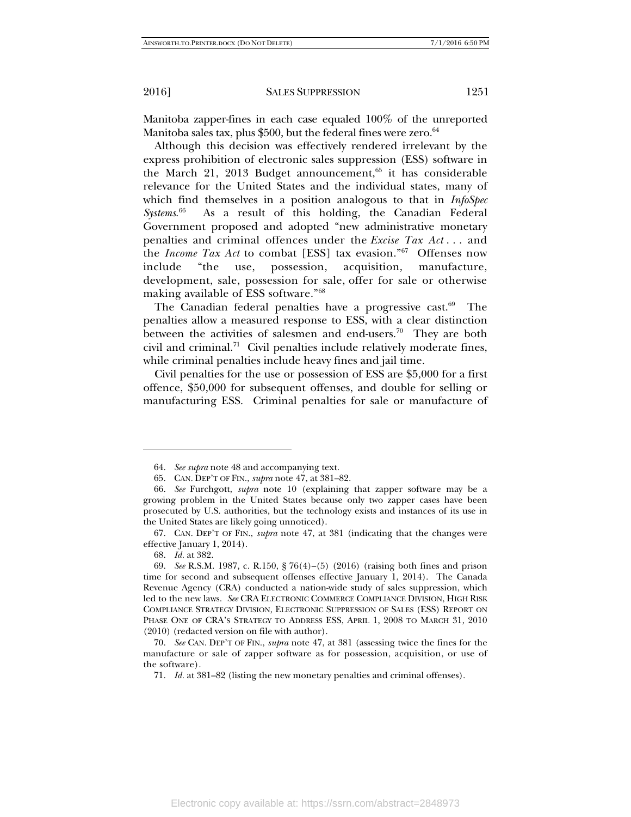Manitoba zapper-fines in each case equaled 100% of the unreported Manitoba sales tax, plus \$500, but the federal fines were zero. $64$ 

Although this decision was effectively rendered irrelevant by the express prohibition of electronic sales suppression (ESS) software in the March 21, 2013 Budget announcement, $65$  it has considerable relevance for the United States and the individual states, many of which find themselves in a position analogous to that in *InfoSpec Systems*. As a result of this holding, the Canadian Federal Government proposed and adopted "new administrative monetary penalties and criminal offences under the *Excise Tax Act* . . . and the *Income Tax Act* to combat [ESS] tax evasion."67 Offenses now include "the use, possession, acquisition, manufacture, development, sale, possession for sale, offer for sale or otherwise making available of ESS software."68

The Canadian federal penalties have a progressive cast. $69$  The penalties allow a measured response to ESS, with a clear distinction between the activities of salesmen and end-users.<sup>70</sup> They are both civil and criminal.<sup>71</sup> Civil penalties include relatively moderate fines, while criminal penalties include heavy fines and jail time.

Civil penalties for the use or possession of ESS are \$5,000 for a first offence, \$50,000 for subsequent offenses, and double for selling or manufacturing ESS. Criminal penalties for sale or manufacture of

 <sup>64.</sup> *See supra* note 48 and accompanying text.

 <sup>65.</sup> CAN. DEP'T OF FIN., *supra* note 47, at 381–82.

 <sup>66.</sup> *See* Furchgott, *supra* note 10 (explaining that zapper software may be a growing problem in the United States because only two zapper cases have been prosecuted by U.S. authorities, but the technology exists and instances of its use in the United States are likely going unnoticed).

 <sup>67.</sup> CAN. DEP'T OF FIN., *supra* note 47, at 381 (indicating that the changes were effective January 1, 2014).

 <sup>68.</sup> *Id.* at 382.

 <sup>69.</sup> *See* R.S.M. 1987, c. R.150, § 76(4)–(5) (2016) (raising both fines and prison time for second and subsequent offenses effective January 1, 2014). The Canada Revenue Agency (CRA) conducted a nation-wide study of sales suppression, which led to the new laws. *See* CRA ELECTRONIC COMMERCE COMPLIANCE DIVISION, HIGH RISK COMPLIANCE STRATEGY DIVISION, ELECTRONIC SUPPRESSION OF SALES (ESS) REPORT ON PHASE ONE OF CRA'S STRATEGY TO ADDRESS ESS, APRIL 1, 2008 TO MARCH 31, 2010 (2010) (redacted version on file with author).

 <sup>70.</sup> *See* CAN. DEP'T OF FIN., *supra* note 47, at 381 (assessing twice the fines for the manufacture or sale of zapper software as for possession, acquisition, or use of the software).

 <sup>71.</sup> *Id.* at 381–82 (listing the new monetary penalties and criminal offenses).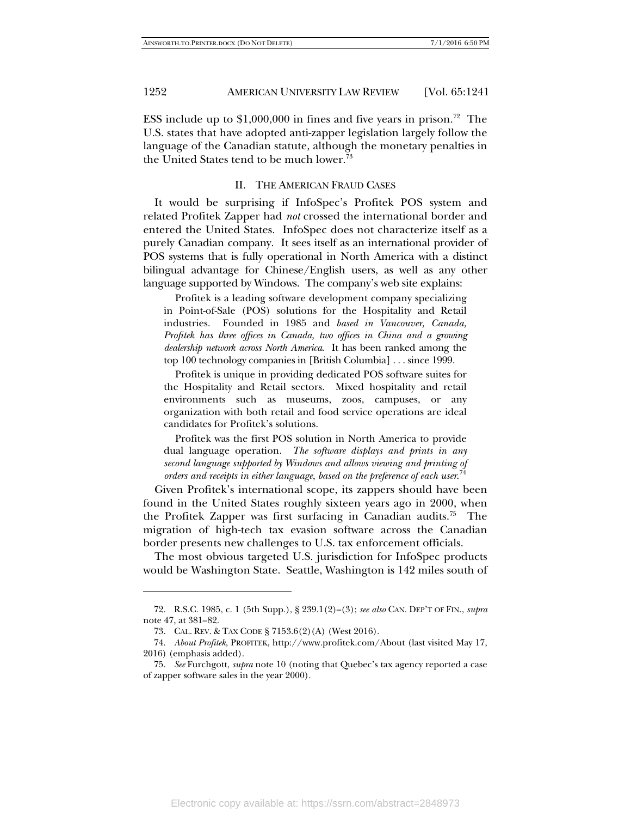-

#### 1252 AMERICAN UNIVERSITY LAW REVIEW [Vol. 65:1241]

ESS include up to  $$1,000,000$  in fines and five years in prison.<sup>72</sup> The U.S. states that have adopted anti-zapper legislation largely follow the language of the Canadian statute, although the monetary penalties in the United States tend to be much lower.<sup>73</sup>

#### II. THE AMERICAN FRAUD CASES

It would be surprising if InfoSpec's Profitek POS system and related Profitek Zapper had *not* crossed the international border and entered the United States. InfoSpec does not characterize itself as a purely Canadian company. It sees itself as an international provider of POS systems that is fully operational in North America with a distinct bilingual advantage for Chinese/English users, as well as any other language supported by Windows. The company's web site explains:

 Profitek is a leading software development company specializing in Point-of-Sale (POS) solutions for the Hospitality and Retail industries. Founded in 1985 and *based in Vancouver, Canada, Profitek has three offices in Canada, two offices in China and a growing dealership network across North America*. It has been ranked among the top 100 technology companies in [British Columbia] . . . since 1999.

 Profitek is unique in providing dedicated POS software suites for the Hospitality and Retail sectors. Mixed hospitality and retail environments such as museums, zoos, campuses, or any organization with both retail and food service operations are ideal candidates for Profitek's solutions.

 Profitek was the first POS solution in North America to provide dual language operation. *The software displays and prints in any second language supported by Windows and allows viewing and printing of orders and receipts in either language, based on the preference of each user*. 74

Given Profitek's international scope, its zappers should have been found in the United States roughly sixteen years ago in 2000, when the Profitek Zapper was first surfacing in Canadian audits.<sup>75</sup> The migration of high-tech tax evasion software across the Canadian border presents new challenges to U.S. tax enforcement officials.

The most obvious targeted U.S. jurisdiction for InfoSpec products would be Washington State. Seattle, Washington is 142 miles south of

 <sup>72.</sup> R.S.C. 1985, c. 1 (5th Supp.), § 239.1(2)–(3); *see also* CAN. DEP'T OF FIN., *supra* note 47, at 381–82.

 <sup>73.</sup> CAL. REV. & TAX CODE § 7153.6(2)(A) (West 2016).

 <sup>74.</sup> *About Profitek*, PROFITEK, http://www.profitek.com/About (last visited May 17, 2016) (emphasis added).

 <sup>75.</sup> *See* Furchgott, *supra* note 10 (noting that Quebec's tax agency reported a case of zapper software sales in the year 2000).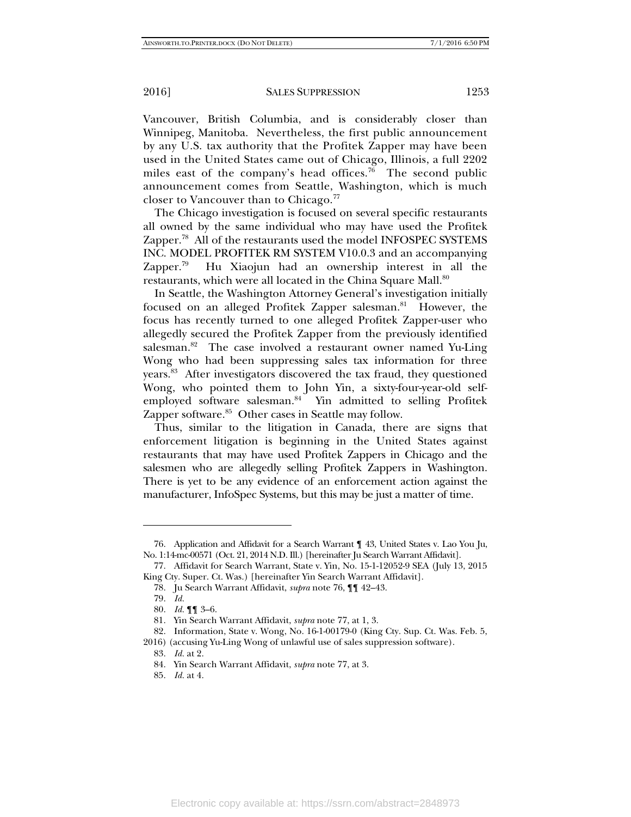Vancouver, British Columbia, and is considerably closer than Winnipeg, Manitoba. Nevertheless, the first public announcement by any U.S. tax authority that the Profitek Zapper may have been used in the United States came out of Chicago, Illinois, a full 2202 miles east of the company's head offices.<sup>76</sup> The second public announcement comes from Seattle, Washington, which is much closer to Vancouver than to Chicago.<sup>77</sup>

The Chicago investigation is focused on several specific restaurants all owned by the same individual who may have used the Profitek Zapper.<sup>78</sup> All of the restaurants used the model INFOSPEC SYSTEMS INC. MODEL PROFITEK RM SYSTEM V10.0.3 and an accompanying Zapper.<sup>79</sup> Hu Xiaojun had an ownership interest in all the restaurants, which were all located in the China Square Mall.<sup>80</sup>

In Seattle, the Washington Attorney General's investigation initially focused on an alleged Profitek Zapper salesman.<sup>81</sup> However, the focus has recently turned to one alleged Profitek Zapper-user who allegedly secured the Profitek Zapper from the previously identified salesman.<sup>82</sup> The case involved a restaurant owner named Yu-Ling Wong who had been suppressing sales tax information for three years.83 After investigators discovered the tax fraud, they questioned Wong, who pointed them to John Yin, a sixty-four-year-old selfemployed software salesman.<sup>84</sup> Yin admitted to selling Profitek Zapper software.<sup>85</sup> Other cases in Seattle may follow.

Thus, similar to the litigation in Canada, there are signs that enforcement litigation is beginning in the United States against restaurants that may have used Profitek Zappers in Chicago and the salesmen who are allegedly selling Profitek Zappers in Washington. There is yet to be any evidence of an enforcement action against the manufacturer, InfoSpec Systems, but this may be just a matter of time.

 <sup>76.</sup> Application and Affidavit for a Search Warrant ¶ 43, United States v. Lao You Ju, No. 1:14-mc-00571 (Oct. 21, 2014 N.D. Ill.) [hereinafter Ju Search Warrant Affidavit].

 <sup>77.</sup> Affidavit for Search Warrant, State v. Yin, No. 15-1-12052-9 SEA (July 13, 2015 King Cty. Super. Ct. Was.) [hereinafter Yin Search Warrant Affidavit].

 <sup>78.</sup> Ju Search Warrant Affidavit, *supra* note 76, ¶¶ 42–43.

 <sup>79.</sup> *Id.* 

 <sup>80.</sup> *Id.* ¶¶ 3–6.

 <sup>81.</sup> Yin Search Warrant Affidavit, *supra* note 77, at 1, 3.

 <sup>82.</sup> Information, State v. Wong, No. 16-1-00179-0 (King Cty. Sup. Ct. Was. Feb. 5, 2016) (accusing Yu-Ling Wong of unlawful use of sales suppression software).

 <sup>83.</sup> *Id.* at 2.

 <sup>84.</sup> Yin Search Warrant Affidavit, *supra* note 77, at 3.

 <sup>85.</sup> *Id.* at 4.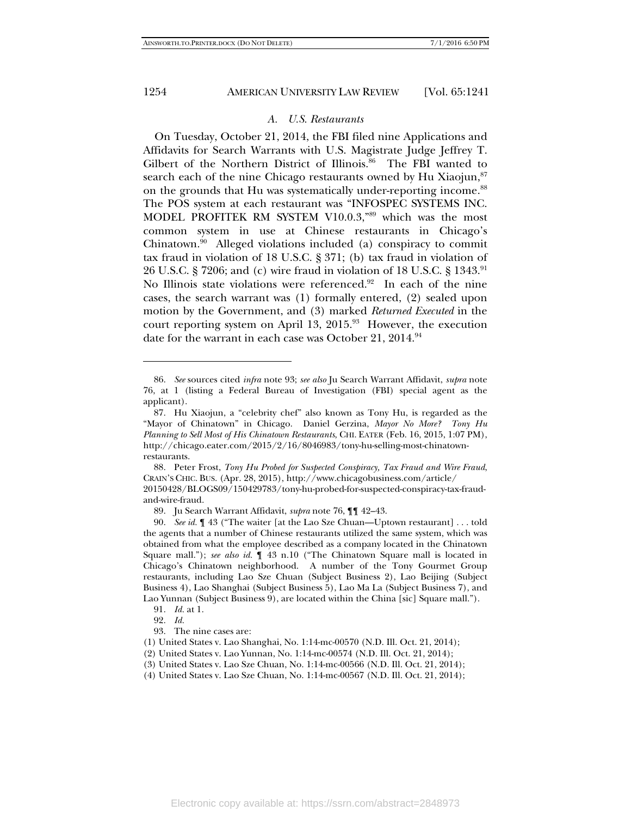j

#### 1254 AMERICAN UNIVERSITY LAW REVIEW [Vol. 65:1241]

### *A. U.S. Restaurants*

On Tuesday, October 21, 2014, the FBI filed nine Applications and Affidavits for Search Warrants with U.S. Magistrate Judge Jeffrey T. Gilbert of the Northern District of Illinois.<sup>86</sup> The FBI wanted to search each of the nine Chicago restaurants owned by Hu Xiaojun, $87$ on the grounds that Hu was systematically under-reporting income.<sup>88</sup> The POS system at each restaurant was "INFOSPEC SYSTEMS INC. MODEL PROFITEK RM SYSTEM V10.0.3,"89 which was the most common system in use at Chinese restaurants in Chicago's Chinatown.90 Alleged violations included (a) conspiracy to commit tax fraud in violation of 18 U.S.C. § 371; (b) tax fraud in violation of 26 U.S.C. § 7206; and (c) wire fraud in violation of 18 U.S.C. § 1343.<sup>91</sup> No Illinois state violations were referenced.<sup>92</sup> In each of the nine cases, the search warrant was (1) formally entered, (2) sealed upon motion by the Government, and (3) marked *Returned Executed* in the court reporting system on April 13,  $2015.^{93}$  However, the execution date for the warrant in each case was October 21,  $2014.^{94}$ 

 <sup>86.</sup> *See* sources cited *infra* note 93; *see also* Ju Search Warrant Affidavit, *supra* note 76, at 1 (listing a Federal Bureau of Investigation (FBI) special agent as the applicant).

 <sup>87.</sup> Hu Xiaojun, a "celebrity chef" also known as Tony Hu, is regarded as the "Mayor of Chinatown" in Chicago. Daniel Gerzina, *Mayor No More? Tony Hu Planning to Sell Most of His Chinatown Restaurants*, CHI. EATER (Feb. 16, 2015, 1:07 PM), http://chicago.eater.com/2015/2/16/8046983/tony-hu-selling-most-chinatownrestaurants.

 <sup>88.</sup> Peter Frost, *Tony Hu Probed for Suspected Conspiracy, Tax Fraud and Wire Fraud*, CRAIN'S CHIC. BUS. (Apr. 28, 2015), http://www.chicagobusiness.com/article/

<sup>20150428/</sup>BLOGS09/150429783/tony-hu-probed-for-suspected-conspiracy-tax-fraudand-wire-fraud.

 <sup>89.</sup> Ju Search Warrant Affidavit, *supra* note 76, ¶¶ 42–43.

 <sup>90.</sup> *See id.* ¶ 43 ("The waiter [at the Lao Sze Chuan—Uptown restaurant] . . . told the agents that a number of Chinese restaurants utilized the same system, which was obtained from what the employee described as a company located in the Chinatown Square mall."); *see also id.* ¶ 43 n.10 ("The Chinatown Square mall is located in Chicago's Chinatown neighborhood. A number of the Tony Gourmet Group restaurants, including Lao Sze Chuan (Subject Business 2), Lao Beijing (Subject Business 4), Lao Shanghai (Subject Business 5), Lao Ma La (Subject Business 7), and Lao Yunnan (Subject Business 9), are located within the China [sic] Square mall.").

 <sup>91.</sup> *Id.* at 1.

 <sup>92.</sup> *Id.*

 <sup>93.</sup> The nine cases are:

<sup>(1)</sup> United States v. Lao Shanghai, No. 1:14-mc-00570 (N.D. Ill. Oct. 21, 2014);

<sup>(2)</sup> United States v. Lao Yunnan, No. 1:14-mc-00574 (N.D. Ill. Oct. 21, 2014);

<sup>(3)</sup> United States v. Lao Sze Chuan, No. 1:14-mc-00566 (N.D. Ill. Oct. 21, 2014);

<sup>(4)</sup> United States v. Lao Sze Chuan, No. 1:14-mc-00567 (N.D. Ill. Oct. 21, 2014);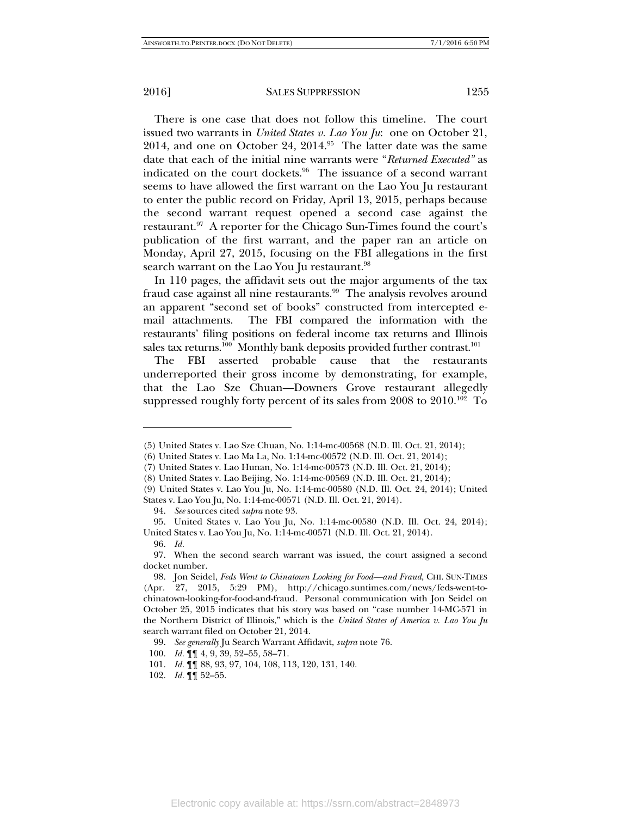There is one case that does not follow this timeline. The court issued two warrants in *United States v. Lao You Ju*: one on October 21, 2014, and one on October 24,  $2014.^{95}$  The latter date was the same date that each of the initial nine warrants were "*Returned Executed"* as indicated on the court dockets.<sup>96</sup> The issuance of a second warrant seems to have allowed the first warrant on the Lao You Ju restaurant to enter the public record on Friday, April 13, 2015, perhaps because the second warrant request opened a second case against the restaurant.<sup>97</sup> A reporter for the Chicago Sun-Times found the court's publication of the first warrant, and the paper ran an article on Monday, April 27, 2015, focusing on the FBI allegations in the first search warrant on the Lao You Ju restaurant.<sup>98</sup>

In 110 pages, the affidavit sets out the major arguments of the tax fraud case against all nine restaurants.<sup>99</sup> The analysis revolves around an apparent "second set of books" constructed from intercepted email attachments. The FBI compared the information with the restaurants' filing positions on federal income tax returns and Illinois sales tax returns.<sup>100</sup> Monthly bank deposits provided further contrast.<sup>101</sup>

The FBI asserted probable cause that the restaurants underreported their gross income by demonstrating, for example, that the Lao Sze Chuan—Downers Grove restaurant allegedly suppressed roughly forty percent of its sales from  $2008$  to  $2010$ .<sup>102</sup> To

<sup>(5)</sup> United States v. Lao Sze Chuan, No. 1:14-mc-00568 (N.D. Ill. Oct. 21, 2014);

<sup>(6)</sup> United States v. Lao Ma La, No. 1:14-mc-00572 (N.D. Ill. Oct. 21, 2014);

<sup>(7)</sup> United States v. Lao Hunan, No. 1:14-mc-00573 (N.D. Ill. Oct. 21, 2014);

<sup>(8)</sup> United States v. Lao Beijing, No. 1:14-mc-00569 (N.D. Ill. Oct. 21, 2014);

<sup>(9)</sup> United States v. Lao You Ju, No. 1:14-mc-00580 (N.D. Ill. Oct. 24, 2014); United States v. Lao You Ju, No. 1:14-mc-00571 (N.D. Ill. Oct. 21, 2014).

 <sup>94.</sup> *See* sources cited *supra* note 93.

 <sup>95.</sup> United States v. Lao You Ju, No. 1:14-mc-00580 (N.D. Ill. Oct. 24, 2014); United States v. Lao You Ju, No. 1:14-mc-00571 (N.D. Ill. Oct. 21, 2014).

 <sup>96.</sup> *Id.* 

 <sup>97.</sup> When the second search warrant was issued, the court assigned a second docket number.

 <sup>98.</sup> Jon Seidel, *Feds Went to Chinatown Looking for Food—and Fraud*, CHI. SUN-TIMES (Apr. 27, 2015, 5:29 PM), http://chicago.suntimes.com/news/feds-went-tochinatown-looking-for-food-and-fraud. Personal communication with Jon Seidel on October 25, 2015 indicates that his story was based on "case number 14-MC-571 in the Northern District of Illinois," which is the *United States of America v. Lao You Ju* search warrant filed on October 21, 2014.

 <sup>99.</sup> *See generally* Ju Search Warrant Affidavit, *supra* note 76.

 <sup>100.</sup> *Id.* ¶¶ 4, 9, 39, 52–55, 58–71.

 <sup>101.</sup> *Id.* ¶¶ 88, 93, 97, 104, 108, 113, 120, 131, 140.

 <sup>102.</sup> *Id.* ¶¶ 52–55.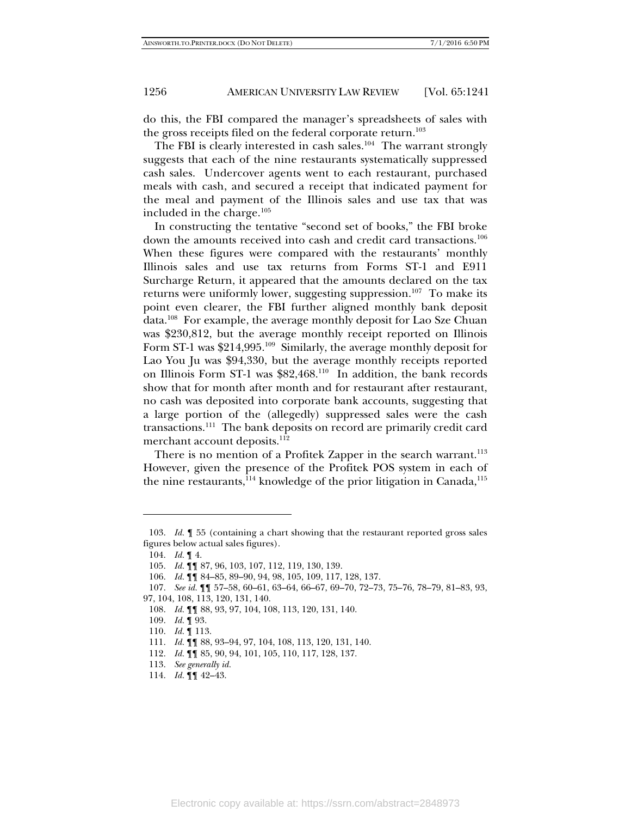do this, the FBI compared the manager's spreadsheets of sales with the gross receipts filed on the federal corporate return.<sup>103</sup>

The FBI is clearly interested in cash sales.<sup>104</sup> The warrant strongly suggests that each of the nine restaurants systematically suppressed cash sales. Undercover agents went to each restaurant, purchased meals with cash, and secured a receipt that indicated payment for the meal and payment of the Illinois sales and use tax that was included in the charge.105

In constructing the tentative "second set of books," the FBI broke down the amounts received into cash and credit card transactions.<sup>106</sup> When these figures were compared with the restaurants' monthly Illinois sales and use tax returns from Forms ST-1 and E911 Surcharge Return, it appeared that the amounts declared on the tax returns were uniformly lower, suggesting suppression.<sup>107</sup> To make its point even clearer, the FBI further aligned monthly bank deposit data.108 For example, the average monthly deposit for Lao Sze Chuan was \$230,812, but the average monthly receipt reported on Illinois Form ST-1 was \$214,995.<sup>109</sup> Similarly, the average monthly deposit for Lao You Ju was \$94,330, but the average monthly receipts reported on Illinois Form ST-1 was \$82,468.110 In addition, the bank records show that for month after month and for restaurant after restaurant, no cash was deposited into corporate bank accounts, suggesting that a large portion of the (allegedly) suppressed sales were the cash transactions.111 The bank deposits on record are primarily credit card merchant account deposits.<sup>112</sup>

There is no mention of a Profitek Zapper in the search warrant.<sup>113</sup> However, given the presence of the Profitek POS system in each of the nine restaurants,  $114$  knowledge of the prior litigation in Canada,  $115$ 

 <sup>103.</sup> *Id.* ¶ 55 (containing a chart showing that the restaurant reported gross sales figures below actual sales figures).

 <sup>104.</sup> *Id.* ¶ 4.

 <sup>105.</sup> *Id.* ¶¶ 87, 96, 103, 107, 112, 119, 130, 139.

 <sup>106.</sup> *Id.* ¶¶ 84–85, 89–90, 94, 98, 105, 109, 117, 128, 137.

 <sup>107.</sup> *See id.* ¶¶ 57–58, 60–61, 63–64, 66–67, 69–70, 72–73, 75–76, 78–79, 81–83, 93,

<sup>97, 104, 108, 113, 120, 131, 140.</sup> 

 <sup>108.</sup> *Id.* ¶¶ 88, 93, 97, 104, 108, 113, 120, 131, 140.

 <sup>109.</sup> *Id.* ¶ 93.

 <sup>110.</sup> *Id.* ¶ 113.

 <sup>111.</sup> *Id.* ¶¶ 88, 93–94, 97, 104, 108, 113, 120, 131, 140.

 <sup>112.</sup> *Id.* ¶¶ 85, 90, 94, 101, 105, 110, 117, 128, 137.

 <sup>113.</sup> *See generally id.*

 <sup>114.</sup> *Id.* ¶¶ 42–43.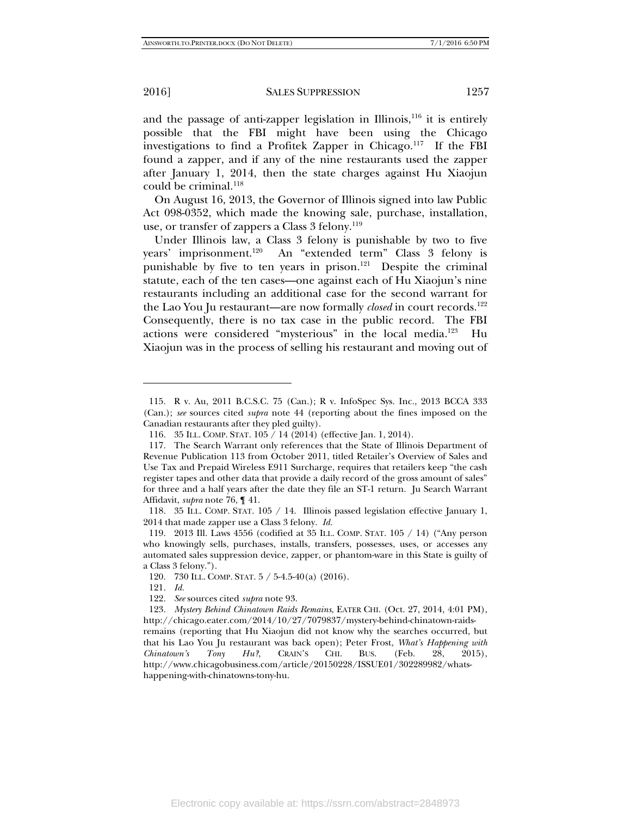and the passage of anti-zapper legislation in Illinois, $116$  it is entirely possible that the FBI might have been using the Chicago investigations to find a Profitek Zapper in Chicago.<sup>117</sup> If the FBI found a zapper, and if any of the nine restaurants used the zapper after January 1, 2014, then the state charges against Hu Xiaojun could be criminal.<sup>118</sup>

On August 16, 2013, the Governor of Illinois signed into law Public Act 098-0352, which made the knowing sale, purchase, installation, use, or transfer of zappers a Class 3 felony.<sup>119</sup>

Under Illinois law, a Class 3 felony is punishable by two to five years' imprisonment.120 An "extended term" Class 3 felony is punishable by five to ten years in prison.<sup>121</sup> Despite the criminal statute, each of the ten cases—one against each of Hu Xiaojun's nine restaurants including an additional case for the second warrant for the Lao You Ju restaurant—are now formally *closed* in court records.<sup>122</sup> Consequently, there is no tax case in the public record. The FBI actions were considered "mysterious" in the local media.123 Hu Xiaojun was in the process of selling his restaurant and moving out of

 <sup>115.</sup> R v. Au, 2011 B.C.S.C. 75 (Can.); R v. InfoSpec Sys. Inc., 2013 BCCA 333 (Can.); *see* sources cited *supra* note 44 (reporting about the fines imposed on the Canadian restaurants after they pled guilty).

 <sup>116. 35</sup> ILL. COMP. STAT. 105 / 14 (2014) (effective Jan. 1, 2014).

 <sup>117.</sup> The Search Warrant only references that the State of Illinois Department of Revenue Publication 113 from October 2011, titled Retailer's Overview of Sales and Use Tax and Prepaid Wireless E911 Surcharge, requires that retailers keep "the cash register tapes and other data that provide a daily record of the gross amount of sales" for three and a half years after the date they file an ST-1 return. Ju Search Warrant Affidavit, *supra* note 76, ¶ 41.

 <sup>118. 35</sup> ILL. COMP. STAT. 105 / 14. Illinois passed legislation effective January 1, 2014 that made zapper use a Class 3 felony. *Id.*

 <sup>119. 2013</sup> Ill. Laws 4556 (codified at 35 ILL. COMP. STAT. 105 / 14) ("Any person who knowingly sells, purchases, installs, transfers, possesses, uses, or accesses any automated sales suppression device, zapper, or phantom-ware in this State is guilty of a Class 3 felony.").

 <sup>120. 730</sup> ILL. COMP. STAT. 5 / 5-4.5-40(a) (2016).

 <sup>121.</sup> *Id.*

 <sup>122.</sup> *See* sources cited *supra* note 93.

 <sup>123.</sup> *Mystery Behind Chinatown Raids Remains*, EATER CHI. (Oct. 27, 2014, 4:01 PM), http://chicago.eater.com/2014/10/27/7079837/mystery-behind-chinatown-raidsremains (reporting that Hu Xiaojun did not know why the searches occurred, but that his Lao You Ju restaurant was back open); Peter Frost, *What's Happening with Chinatown's Tony Hu?*, CRAIN'S CHI. BUS. (Feb. 28, 2015), http://www.chicagobusiness.com/article/20150228/ISSUE01/302289982/whatshappening-with-chinatowns-tony-hu.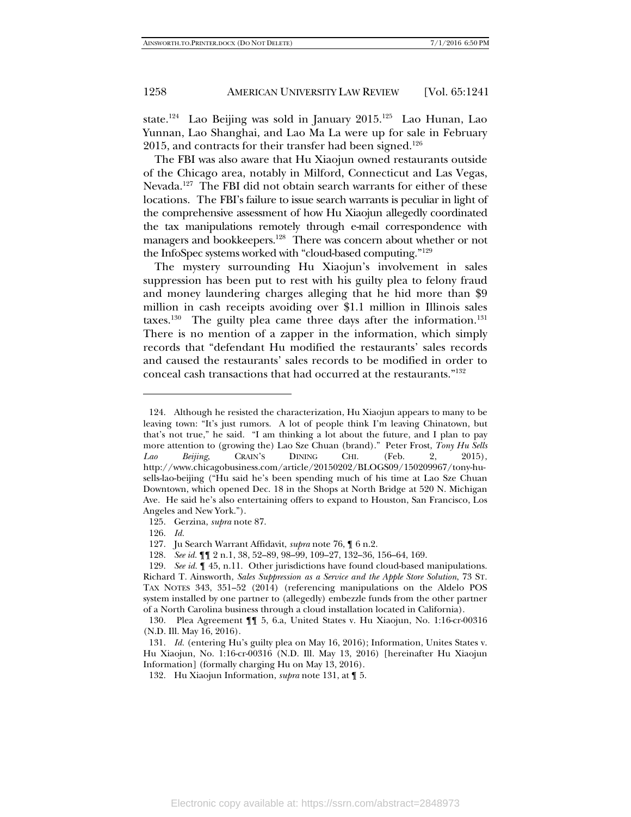state.<sup>124</sup> Lao Beijing was sold in January 2015.<sup>125</sup> Lao Hunan, Lao Yunnan, Lao Shanghai, and Lao Ma La were up for sale in February 2015, and contracts for their transfer had been signed.<sup>126</sup>

The FBI was also aware that Hu Xiaojun owned restaurants outside of the Chicago area, notably in Milford, Connecticut and Las Vegas, Nevada.<sup>127</sup> The FBI did not obtain search warrants for either of these locations. The FBI's failure to issue search warrants is peculiar in light of the comprehensive assessment of how Hu Xiaojun allegedly coordinated the tax manipulations remotely through e-mail correspondence with managers and bookkeepers.<sup>128</sup> There was concern about whether or not the InfoSpec systems worked with "cloud-based computing."129

The mystery surrounding Hu Xiaojun's involvement in sales suppression has been put to rest with his guilty plea to felony fraud and money laundering charges alleging that he hid more than \$9 million in cash receipts avoiding over \$1.1 million in Illinois sales taxes.<sup>130</sup> The guilty plea came three days after the information.<sup>131</sup> There is no mention of a zapper in the information, which simply records that "defendant Hu modified the restaurants' sales records and caused the restaurants' sales records to be modified in order to conceal cash transactions that had occurred at the restaurants."132

-

128. *See id.* ¶¶ 2 n.1, 38, 52–89, 98–99, 109–27, 132–36, 156–64, 169.

 <sup>124.</sup> Although he resisted the characterization, Hu Xiaojun appears to many to be leaving town: "It's just rumors. A lot of people think I'm leaving Chinatown, but that's not true," he said. "I am thinking a lot about the future, and I plan to pay more attention to (growing the) Lao Sze Chuan (brand)." Peter Frost, *Tony Hu Sells Lao Beijing*, CRAIN'S DINING CHI. (Feb. 2, 2015), http://www.chicagobusiness.com/article/20150202/BLOGS09/150209967/tony-husells-lao-beijing ("Hu said he's been spending much of his time at Lao Sze Chuan Downtown, which opened Dec. 18 in the Shops at North Bridge at 520 N. Michigan Ave. He said he's also entertaining offers to expand to Houston, San Francisco, Los Angeles and New York.").

 <sup>125.</sup> Gerzina, *supra* note 87.

 <sup>126.</sup> *Id.*

 <sup>127.</sup> Ju Search Warrant Affidavit, *supra* note 76, ¶ 6 n.2.

 <sup>129.</sup> *See id.* ¶ 45, n.11. Other jurisdictions have found cloud-based manipulations. Richard T. Ainsworth, *Sales Suppression as a Service and the Apple Store Solution*, 73 ST. TAX NOTES 343, 351–52 (2014) (referencing manipulations on the Aldelo POS system installed by one partner to (allegedly) embezzle funds from the other partner of a North Carolina business through a cloud installation located in California).

 <sup>130.</sup> Plea Agreement ¶¶ 5, 6.a, United States v. Hu Xiaojun, No. 1:16-cr-00316 (N.D. Ill. May 16, 2016).

 <sup>131.</sup> *Id.* (entering Hu's guilty plea on May 16, 2016); Information, Unites States v. Hu Xiaojun, No. 1:16-cr-00316 (N.D. Ill. May 13, 2016) [hereinafter Hu Xiaojun Information] (formally charging Hu on May 13, 2016).

 <sup>132.</sup> Hu Xiaojun Information, *supra* note 131, at ¶ 5.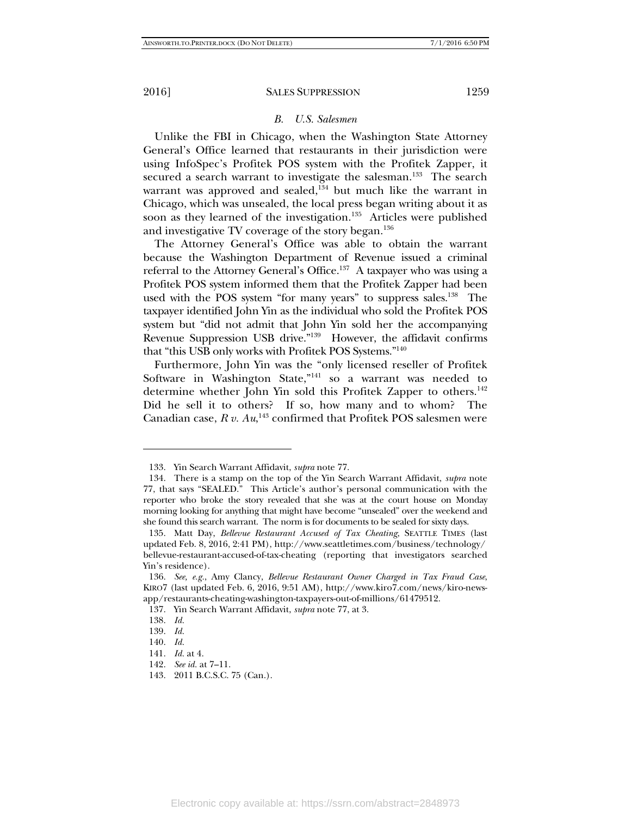#### *B. U.S. Salesmen*

Unlike the FBI in Chicago, when the Washington State Attorney General's Office learned that restaurants in their jurisdiction were using InfoSpec's Profitek POS system with the Profitek Zapper, it secured a search warrant to investigate the salesman.<sup>133</sup> The search warrant was approved and sealed, $134$  but much like the warrant in Chicago, which was unsealed, the local press began writing about it as soon as they learned of the investigation.<sup>135</sup> Articles were published and investigative TV coverage of the story began.<sup>136</sup>

The Attorney General's Office was able to obtain the warrant because the Washington Department of Revenue issued a criminal referral to the Attorney General's Office.<sup>137</sup> A taxpayer who was using a Profitek POS system informed them that the Profitek Zapper had been used with the POS system "for many years" to suppress sales.<sup>138</sup> The taxpayer identified John Yin as the individual who sold the Profitek POS system but "did not admit that John Yin sold her the accompanying Revenue Suppression USB drive."139 However, the affidavit confirms that "this USB only works with Profitek POS Systems."140

Furthermore, John Yin was the "only licensed reseller of Profitek Software in Washington State,"<sup>141</sup> so a warrant was needed to determine whether John Yin sold this Profitek Zapper to others.<sup>142</sup> Did he sell it to others? If so, how many and to whom? The Canadian case,  $R v. Au<sup>143</sup>$  confirmed that Profitek POS salesmen were

 <sup>133.</sup> Yin Search Warrant Affidavit, *supra* note 77.

 <sup>134.</sup> There is a stamp on the top of the Yin Search Warrant Affidavit, *supra* note 77, that says "SEALED." This Article's author's personal communication with the reporter who broke the story revealed that she was at the court house on Monday morning looking for anything that might have become "unsealed" over the weekend and she found this search warrant. The norm is for documents to be sealed for sixty days.

 <sup>135.</sup> Matt Day, *Bellevue Restaurant Accused of Tax Cheating*, SEATTLE TIMES (last updated Feb. 8, 2016, 2:41 PM), http://www.seattletimes.com/business/technology/ bellevue-restaurant-accused-of-tax-cheating (reporting that investigators searched Yin's residence).

 <sup>136.</sup> *See, e.g.*, Amy Clancy, *Bellevue Restaurant Owner Charged in Tax Fraud Case*, KIRO7 (last updated Feb. 6, 2016, 9:51 AM), http://www.kiro7.com/news/kiro-newsapp/restaurants-cheating-washington-taxpayers-out-of-millions/61479512.

 <sup>137.</sup> Yin Search Warrant Affidavit, *supra* note 77, at 3.

 <sup>138.</sup> *Id.*

 <sup>139.</sup> *Id.*

 <sup>140.</sup> *Id.*

 <sup>141.</sup> *Id.* at 4.

 <sup>142.</sup> *See id.* at 7–11.

 <sup>143. 2011</sup> B.C.S.C. 75 (Can.).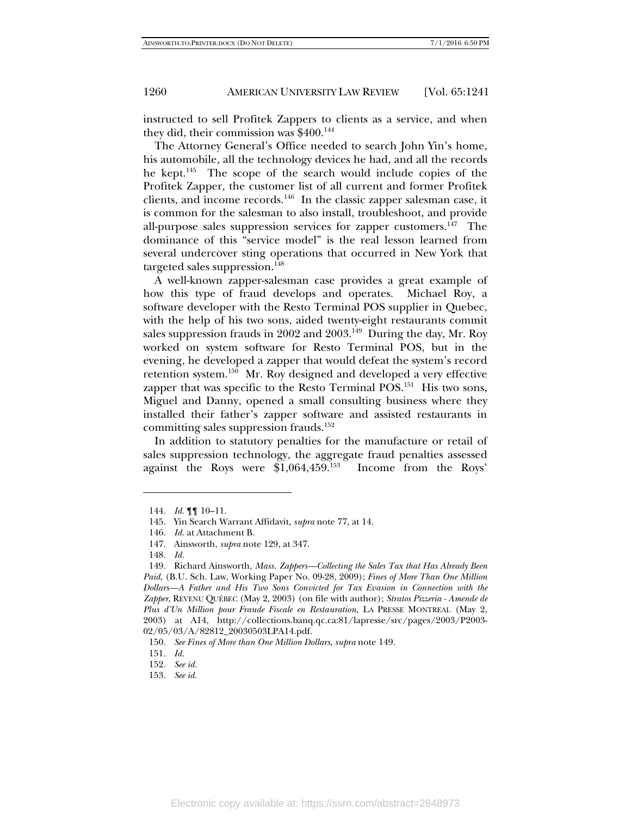instructed to sell Profitek Zappers to clients as a service, and when they did, their commission was  $$400.<sup>144</sup>$ 

The Attorney General's Office needed to search John Yin's home, his automobile, all the technology devices he had, and all the records he kept.145 The scope of the search would include copies of the Profitek Zapper, the customer list of all current and former Profitek clients, and income records.146 In the classic zapper salesman case, it is common for the salesman to also install, troubleshoot, and provide all-purpose sales suppression services for zapper customers.<sup>147</sup> The dominance of this "service model" is the real lesson learned from several undercover sting operations that occurred in New York that targeted sales suppression.<sup>148</sup>

A well-known zapper-salesman case provides a great example of how this type of fraud develops and operates. Michael Roy, a software developer with the Resto Terminal POS supplier in Quebec, with the help of his two sons, aided twenty-eight restaurants commit sales suppression frauds in  $2002$  and  $2003<sup>149</sup>$  During the day, Mr. Roy worked on system software for Resto Terminal POS, but in the evening, he developed a zapper that would defeat the system's record retention system.150 Mr. Roy designed and developed a very effective zapper that was specific to the Resto Terminal POS.<sup>151</sup> His two sons, Miguel and Danny, opened a small consulting business where they installed their father's zapper software and assisted restaurants in committing sales suppression frauds.152

In addition to statutory penalties for the manufacture or retail of sales suppression technology, the aggregate fraud penalties assessed against the Roys were \$1,064,459.153 Income from the Roys'

 <sup>144.</sup> *Id.* ¶¶ 10–11.

 <sup>145.</sup> Yin Search Warrant Affidavit, *supra* note 77, at 14.

 <sup>146.</sup> *Id.* at Attachment B.

 <sup>147.</sup> Ainsworth, *supra* note 129, at 347.

 <sup>148.</sup> *Id.*

 <sup>149.</sup> Richard Ainsworth, *Mass. Zappers—Collecting the Sales Tax that Has Already Been Paid*, (B.U. Sch. Law, Working Paper No. 09-28, 2009); *Fines of More Than One Million Dollars—A Father and His Two Sons Convicted for Tax Evasion in Connection with the Zapper*, REVENU QUÉBEC (May 2, 2003) (on file with author); *Stratos Pizzeria - Amende de Plus d'Un Million pour Fraude Fiscale en Restauration,* LA PRESSE MONTREAL (May 2, 2003) at A14, http://collections.banq.qc.ca:81/lapresse/src/pages/2003/P2003- 02/05/03/A/82812\_20030503LPA14.pdf.

 <sup>150.</sup> *See Fines of More than One Million Dollars*, *supra* note 149.

 <sup>151.</sup> *Id.* 

 <sup>152.</sup> *See id.*

 <sup>153.</sup> *See id.*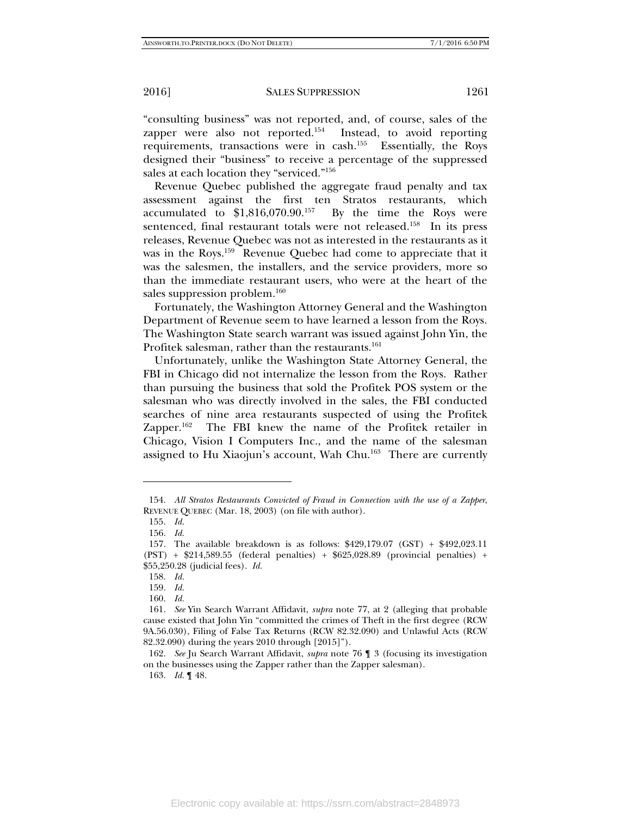"consulting business" was not reported, and, of course, sales of the zapper were also not reported.<sup>154</sup> Instead, to avoid reporting requirements, transactions were in cash.<sup>155</sup> Essentially, the Roys designed their "business" to receive a percentage of the suppressed sales at each location they "serviced."156

Revenue Quebec published the aggregate fraud penalty and tax assessment against the first ten Stratos restaurants, which accumulated to \$1,816,070.90.157 By the time the Roys were sentenced, final restaurant totals were not released.<sup>158</sup> In its press releases, Revenue Quebec was not as interested in the restaurants as it was in the Roys.<sup>159</sup> Revenue Quebec had come to appreciate that it was the salesmen, the installers, and the service providers, more so than the immediate restaurant users, who were at the heart of the sales suppression problem.<sup>160</sup>

Fortunately, the Washington Attorney General and the Washington Department of Revenue seem to have learned a lesson from the Roys. The Washington State search warrant was issued against John Yin, the Profitek salesman, rather than the restaurants.<sup>161</sup>

Unfortunately, unlike the Washington State Attorney General, the FBI in Chicago did not internalize the lesson from the Roys. Rather than pursuing the business that sold the Profitek POS system or the salesman who was directly involved in the sales, the FBI conducted searches of nine area restaurants suspected of using the Profitek Zapper.<sup>162</sup> The FBI knew the name of the Profitek retailer in Chicago, Vision I Computers Inc., and the name of the salesman assigned to Hu Xiaojun's account, Wah Chu.<sup>163</sup> There are currently

 <sup>154.</sup> *All Stratos Restaurants Convicted of Fraud in Connection with the use of a Zapper*, REVENUE QUEBEC (Mar. 18, 2003) (on file with author).

 <sup>155.</sup> *Id.* 

 <sup>156.</sup> *Id.* 

 <sup>157.</sup> The available breakdown is as follows: \$429,179.07 (GST) + \$492,023.11 (PST) + \$214,589.55 (federal penalties) + \$625,028.89 (provincial penalties) + \$55,250.28 (judicial fees). *Id.*

 <sup>158.</sup> *Id.* 

 <sup>159.</sup> *Id.* 

 <sup>160.</sup> *Id.* 

 <sup>161.</sup> *See* Yin Search Warrant Affidavit, *supra* note 77, at 2 (alleging that probable cause existed that John Yin "committed the crimes of Theft in the first degree (RCW 9A.56.030), Filing of False Tax Returns (RCW 82.32.090) and Unlawful Acts (RCW 82.32.090) during the years 2010 through [2015]").

 <sup>162.</sup> *See* Ju Search Warrant Affidavit, *supra* note 76 ¶ 3 (focusing its investigation on the businesses using the Zapper rather than the Zapper salesman).

 <sup>163.</sup> *Id.* ¶ 48.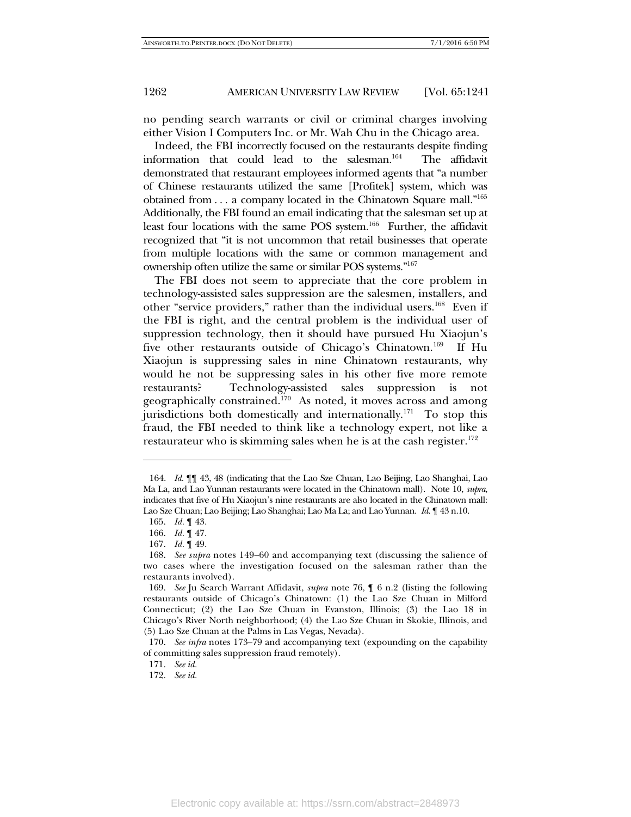no pending search warrants or civil or criminal charges involving either Vision I Computers Inc. or Mr. Wah Chu in the Chicago area.

Indeed, the FBI incorrectly focused on the restaurants despite finding information that could lead to the salesman.<sup>164</sup> The affidavit demonstrated that restaurant employees informed agents that "a number of Chinese restaurants utilized the same [Profitek] system, which was obtained from . . . a company located in the Chinatown Square mall."165 Additionally, the FBI found an email indicating that the salesman set up at least four locations with the same POS system.<sup>166</sup> Further, the affidavit recognized that "it is not uncommon that retail businesses that operate from multiple locations with the same or common management and ownership often utilize the same or similar POS systems."167

The FBI does not seem to appreciate that the core problem in technology-assisted sales suppression are the salesmen, installers, and other "service providers," rather than the individual users.<sup>168</sup> Even if the FBI is right, and the central problem is the individual user of suppression technology, then it should have pursued Hu Xiaojun's five other restaurants outside of Chicago's Chinatown.<sup>169</sup> If Hu Xiaojun is suppressing sales in nine Chinatown restaurants, why would he not be suppressing sales in his other five more remote restaurants? Technology-assisted sales suppression is not geographically constrained.<sup>170</sup> As noted, it moves across and among jurisdictions both domestically and internationally.<sup>171</sup> To stop this fraud, the FBI needed to think like a technology expert, not like a restaurateur who is skimming sales when he is at the cash register.<sup>172</sup>

 <sup>164.</sup> *Id.* ¶¶ 43, 48 (indicating that the Lao Sze Chuan, Lao Beijing, Lao Shanghai, Lao Ma La, and Lao Yunnan restaurants were located in the Chinatown mall). Note 10, *supra*, indicates that five of Hu Xiaojun's nine restaurants are also located in the Chinatown mall: Lao Sze Chuan; Lao Beijing; Lao Shanghai; Lao Ma La; and Lao Yunnan. *Id.* ¶ 43 n.10.

 <sup>165.</sup> *Id.* ¶ 43.

 <sup>166.</sup> *Id.* ¶ 47.

 <sup>167.</sup> *Id.* ¶ 49.

 <sup>168.</sup> *See supra* notes 149–60 and accompanying text (discussing the salience of two cases where the investigation focused on the salesman rather than the restaurants involved).

 <sup>169.</sup> *See* Ju Search Warrant Affidavit, *supra* note 76, ¶ 6 n.2 (listing the following restaurants outside of Chicago's Chinatown: (1) the Lao Sze Chuan in Milford Connecticut; (2) the Lao Sze Chuan in Evanston, Illinois; (3) the Lao 18 in Chicago's River North neighborhood; (4) the Lao Sze Chuan in Skokie, Illinois, and (5) Lao Sze Chuan at the Palms in Las Vegas, Nevada).

 <sup>170.</sup> *See infra* notes 173–79 and accompanying text (expounding on the capability of committing sales suppression fraud remotely).

 <sup>171.</sup> *See id.*

 <sup>172.</sup> *See id.*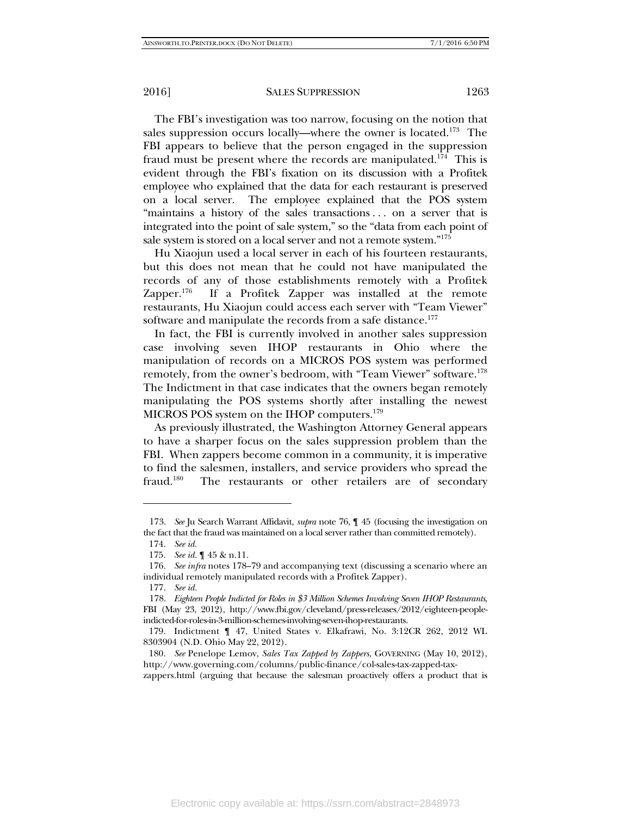The FBI's investigation was too narrow, focusing on the notion that sales suppression occurs locally—where the owner is located.<sup>173</sup> The FBI appears to believe that the person engaged in the suppression fraud must be present where the records are manipulated.<sup>174</sup> This is evident through the FBI's fixation on its discussion with a Profitek employee who explained that the data for each restaurant is preserved on a local server. The employee explained that the POS system "maintains a history of the sales transactions . . . on a server that is integrated into the point of sale system," so the "data from each point of sale system is stored on a local server and not a remote system."175

Hu Xiaojun used a local server in each of his fourteen restaurants, but this does not mean that he could not have manipulated the records of any of those establishments remotely with a Profitek Zapper.<sup>176</sup> If a Profitek Zapper was installed at the remote restaurants, Hu Xiaojun could access each server with "Team Viewer" software and manipulate the records from a safe distance.<sup>177</sup>

In fact, the FBI is currently involved in another sales suppression case involving seven IHOP restaurants in Ohio where the manipulation of records on a MICROS POS system was performed remotely, from the owner's bedroom, with "Team Viewer" software.<sup>178</sup> The Indictment in that case indicates that the owners began remotely manipulating the POS systems shortly after installing the newest MICROS POS system on the IHOP computers.179

As previously illustrated, the Washington Attorney General appears to have a sharper focus on the sales suppression problem than the FBI. When zappers become common in a community, it is imperative to find the salesmen, installers, and service providers who spread the fraud.<sup>180</sup> The restaurants or other retailers are of secondary

 <sup>173.</sup> *See* Ju Search Warrant Affidavit, *supra* note 76, ¶ 45 (focusing the investigation on the fact that the fraud was maintained on a local server rather than committed remotely).

 <sup>174.</sup> *See id.*

 <sup>175.</sup> *See id.* ¶ 45 & n.11.

 <sup>176.</sup> *See infra* notes 178–79 and accompanying text (discussing a scenario where an individual remotely manipulated records with a Profitek Zapper).

 <sup>177.</sup> *See id.*

 <sup>178.</sup> *Eighteen People Indicted for Roles in \$3 Million Schemes Involving Seven IHOP Restaurants*, FBI (May 23, 2012), http://www.fbi.gov/cleveland/press-releases/2012/eighteen-peopleindicted-for-roles-in-3-million-schemes-involving-seven-ihop-restaurants.

 <sup>179.</sup> Indictment ¶ 47, United States v. Elkafrawi, No. 3:12CR 262, 2012 WL 8303904 (N.D. Ohio May 22, 2012).

 <sup>180.</sup> *See* Penelope Lemov, *Sales Tax Zapped by Zappers*, GOVERNING (May 10, 2012), http://www.governing.com/columns/public-finance/col-sales-tax-zapped-tax-

zappers.html (arguing that because the salesman proactively offers a product that is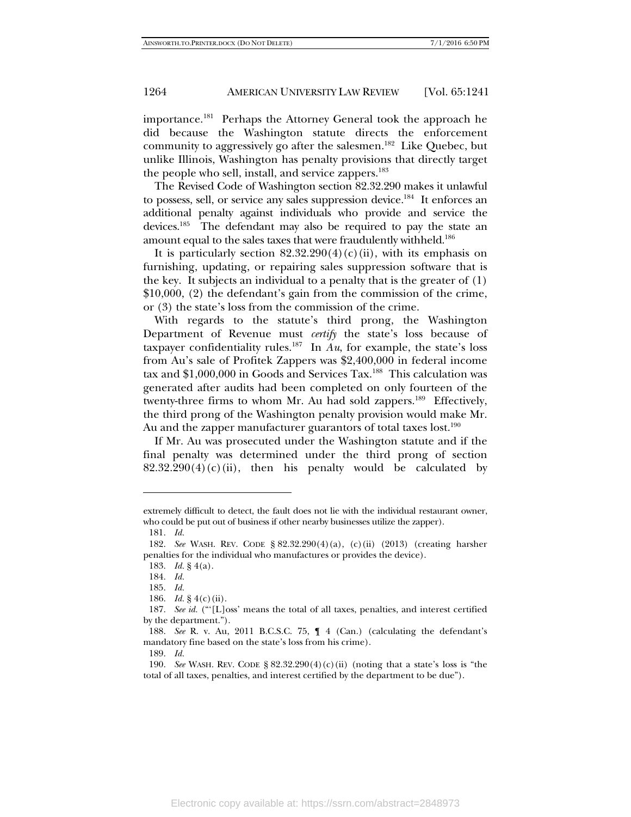importance.<sup>181</sup> Perhaps the Attorney General took the approach he did because the Washington statute directs the enforcement community to aggressively go after the salesmen.<sup>182</sup> Like Quebec, but unlike Illinois, Washington has penalty provisions that directly target the people who sell, install, and service zappers.<sup>183</sup>

The Revised Code of Washington section 82.32.290 makes it unlawful to possess, sell, or service any sales suppression device.<sup>184</sup> It enforces an additional penalty against individuals who provide and service the devices.185 The defendant may also be required to pay the state an amount equal to the sales taxes that were fraudulently withheld.<sup>186</sup>

It is particularly section  $82.32.290(4)(c)(ii)$ , with its emphasis on furnishing, updating, or repairing sales suppression software that is the key. It subjects an individual to a penalty that is the greater of (1) \$10,000, (2) the defendant's gain from the commission of the crime, or (3) the state's loss from the commission of the crime.

With regards to the statute's third prong, the Washington Department of Revenue must *certify* the state's loss because of taxpayer confidentiality rules.<sup>187</sup> In  $Au$ , for example, the state's loss from Au's sale of Profitek Zappers was \$2,400,000 in federal income tax and \$1,000,000 in Goods and Services Tax.<sup>188</sup> This calculation was generated after audits had been completed on only fourteen of the twenty-three firms to whom Mr. Au had sold zappers.<sup>189</sup> Effectively, the third prong of the Washington penalty provision would make Mr. Au and the zapper manufacturer guarantors of total taxes  $lost.^{190}$ 

If Mr. Au was prosecuted under the Washington statute and if the final penalty was determined under the third prong of section  $82.32.290(4)(c)(ii)$ , then his penalty would be calculated by

extremely difficult to detect, the fault does not lie with the individual restaurant owner, who could be put out of business if other nearby businesses utilize the zapper).

 <sup>181.</sup> *Id.*

 <sup>182.</sup> *See* WASH. REV. CODE § 82.32.290(4)(a), (c)(ii) (2013) (creating harsher penalties for the individual who manufactures or provides the device).

 <sup>183.</sup> *Id.* § 4(a).

 <sup>184.</sup> *Id.* 

 <sup>185.</sup> *Id.* 

 <sup>186.</sup> *Id.* § 4(c)(ii).

 <sup>187.</sup> *See id.* ("'[L]oss' means the total of all taxes, penalties, and interest certified by the department.").

 <sup>188.</sup> *See* R. v. Au, 2011 B.C.S.C. 75, ¶ 4 (Can.) (calculating the defendant's mandatory fine based on the state's loss from his crime).

 <sup>189.</sup> *Id.*

 <sup>190.</sup> *See* WASH. REV. CODE § 82.32.290(4)(c)(ii) (noting that a state's loss is "the total of all taxes, penalties, and interest certified by the department to be due").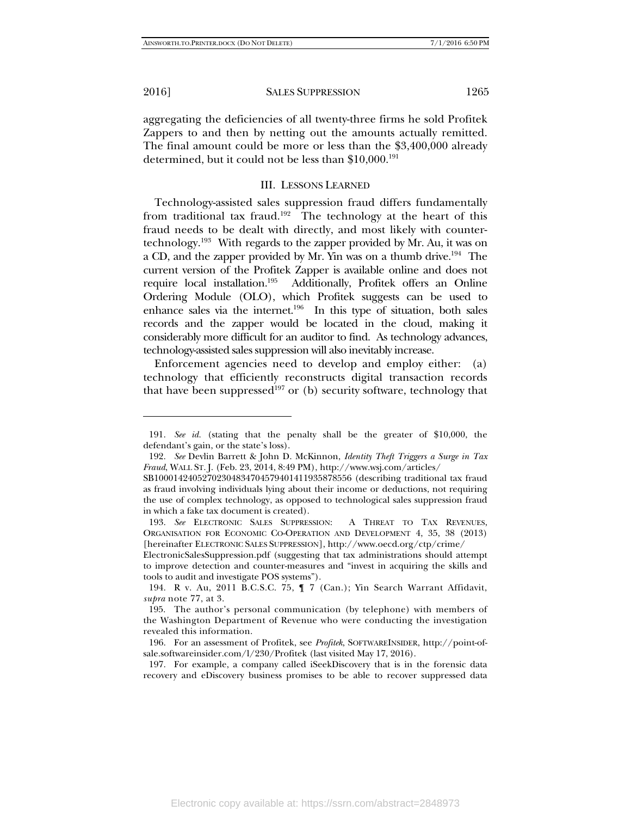-

2016] SALES SUPPRESSION 1265

aggregating the deficiencies of all twenty-three firms he sold Profitek Zappers to and then by netting out the amounts actually remitted. The final amount could be more or less than the \$3,400,000 already determined, but it could not be less than \$10,000.<sup>191</sup>

#### III. LESSONS LEARNED

Technology-assisted sales suppression fraud differs fundamentally from traditional tax fraud.<sup>192</sup> The technology at the heart of this fraud needs to be dealt with directly, and most likely with countertechnology.193 With regards to the zapper provided by Mr. Au, it was on a CD, and the zapper provided by Mr. Yin was on a thumb drive.194 The current version of the Profitek Zapper is available online and does not require local installation.195 Additionally, Profitek offers an Online Ordering Module (OLO), which Profitek suggests can be used to enhance sales via the internet.<sup>196</sup> In this type of situation, both sales records and the zapper would be located in the cloud, making it considerably more difficult for an auditor to find. As technology advances, technology-assisted sales suppression will also inevitably increase.

Enforcement agencies need to develop and employ either: (a) technology that efficiently reconstructs digital transaction records that have been suppressed<sup>197</sup> or (b) security software, technology that

 <sup>191.</sup> *See id.* (stating that the penalty shall be the greater of \$10,000, the defendant's gain, or the state's loss).

 <sup>192.</sup> *See* Devlin Barrett & John D. McKinnon, *Identity Theft Triggers a Surge in Tax Fraud*, WALL ST. J. (Feb. 23, 2014, 8:49 PM), http://www.wsj.com/articles/

SB10001424052702304834704579401411935878556 (describing traditional tax fraud as fraud involving individuals lying about their income or deductions, not requiring the use of complex technology, as opposed to technological sales suppression fraud in which a fake tax document is created).

 <sup>193.</sup> *See* ELECTRONIC SALES SUPPRESSION: A THREAT TO TAX REVENUES, ORGANISATION FOR ECONOMIC CO-OPERATION AND DEVELOPMENT 4, 35, 38 (2013) [hereinafter ELECTRONIC SALES SUPPRESSION], http://www.oecd.org/ctp/crime/

ElectronicSalesSuppression.pdf (suggesting that tax administrations should attempt to improve detection and counter-measures and "invest in acquiring the skills and tools to audit and investigate POS systems").

 <sup>194.</sup> R v. Au, 2011 B.C.S.C. 75, ¶ 7 (Can.); Yin Search Warrant Affidavit, *supra* note 77, at 3.

 <sup>195.</sup> The author's personal communication (by telephone) with members of the Washington Department of Revenue who were conducting the investigation revealed this information.

 <sup>196.</sup> For an assessment of Profitek, see *Profitek*, SOFTWAREINSIDER, http://point-ofsale.softwareinsider.com/l/230/Profitek (last visited May 17, 2016).

 <sup>197.</sup> For example, a company called iSeekDiscovery that is in the forensic data recovery and eDiscovery business promises to be able to recover suppressed data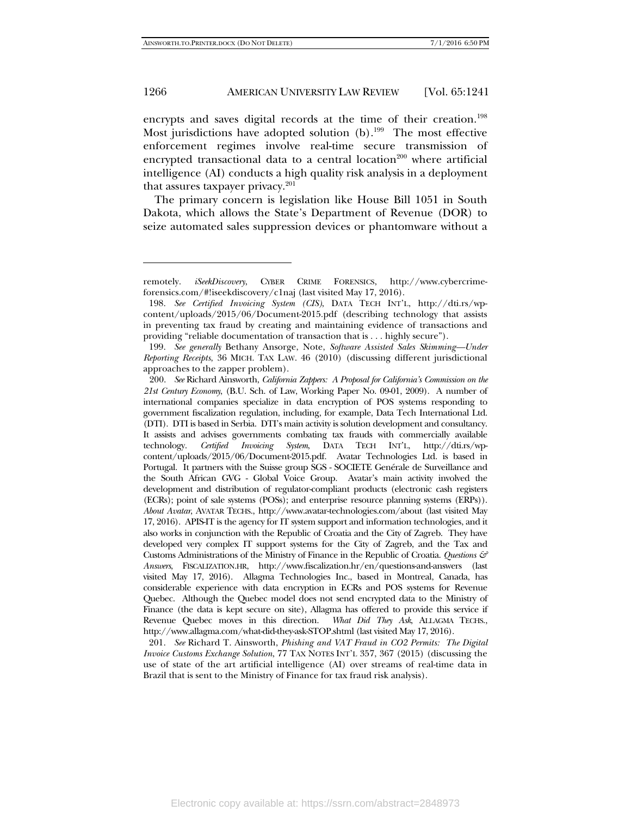-

#### 1266 **AMERICAN UNIVERSITY LAW REVIEW** [Vol. 65:1241]

encrypts and saves digital records at the time of their creation.<sup>198</sup> Most jurisdictions have adopted solution (b).<sup>199</sup> The most effective enforcement regimes involve real-time secure transmission of encrypted transactional data to a central location<sup>200</sup> where artificial intelligence (AI) conducts a high quality risk analysis in a deployment that assures taxpayer privacy.<sup>201</sup>

The primary concern is legislation like House Bill 1051 in South Dakota, which allows the State's Department of Revenue (DOR) to seize automated sales suppression devices or phantomware without a

remotely. *iSeekDiscovery*, CYBER CRIME FORENSICS, http://www.cybercrimeforensics.com/#!iseekdiscovery/c1naj (last visited May 17, 2016).

 <sup>198.</sup> *See Certified Invoicing System (CIS)*, DATA TECH INT'L, http://dti.rs/wpcontent/uploads/2015/06/Document-2015.pdf (describing technology that assists in preventing tax fraud by creating and maintaining evidence of transactions and providing "reliable documentation of transaction that is . . . highly secure").

 <sup>199.</sup> *See generally* Bethany Ansorge, Note, *Software Assisted Sales Skimming—Under Reporting Receipts*, 36 MICH. TAX LAW. 46 (2010) (discussing different jurisdictional approaches to the zapper problem).

 <sup>200.</sup> *See* Richard Ainsworth, *California Zappers: A Proposal for California's Commission on the 21st Century Economy*, (B.U. Sch. of Law, Working Paper No. 09-01, 2009). A number of international companies specialize in data encryption of POS systems responding to government fiscalization regulation, including, for example, Data Tech International Ltd. (DTI). DTI is based in Serbia. DTI's main activity is solution development and consultancy. It assists and advises governments combating tax frauds with commercially available technology. *Certified Invoicing System*, DATA TECH INT'L, http://dti.rs/wpcontent/uploads/2015/06/Document-2015.pdf. Avatar Technologies Ltd. is based in Portugal. It partners with the Suisse group SGS - SOCIETE Genérale de Surveillance and the South African GVG - Global Voice Group. Avatar's main activity involved the development and distribution of regulator-compliant products (electronic cash registers (ECRs); point of sale systems (POSs); and enterprise resource planning systems (ERPs)). *About Avatar*, AVATAR TECHS., http://www.avatar-technologies.com/about (last visited May 17, 2016). APIS-IT is the agency for IT system support and information technologies, and it also works in conjunction with the Republic of Croatia and the City of Zagreb. They have developed very complex IT support systems for the City of Zagreb, and the Tax and Customs Administrations of the Ministry of Finance in the Republic of Croatia. *Questions & Answers*, FISCALIZATION.HR, http://www.fiscalization.hr/en/questions-and-answers (last visited May 17, 2016). Allagma Technologies Inc., based in Montreal, Canada, has considerable experience with data encryption in ECRs and POS systems for Revenue Quebec. Although the Quebec model does not send encrypted data to the Ministry of Finance (the data is kept secure on site), Allagma has offered to provide this service if Revenue Quebec moves in this direction. *What Did They Ask*, ALLAGMA TECHS., http://www.allagma.com/what-did-they-ask-STOP.shtml (last visited May 17, 2016).

 <sup>201.</sup> *See* Richard T. Ainsworth, *Phishing and VAT Fraud in CO2 Permits: The Digital Invoice Customs Exchange Solution*, 77 TAX NOTES INT'L 357, 367 (2015) (discussing the use of state of the art artificial intelligence (AI) over streams of real-time data in Brazil that is sent to the Ministry of Finance for tax fraud risk analysis).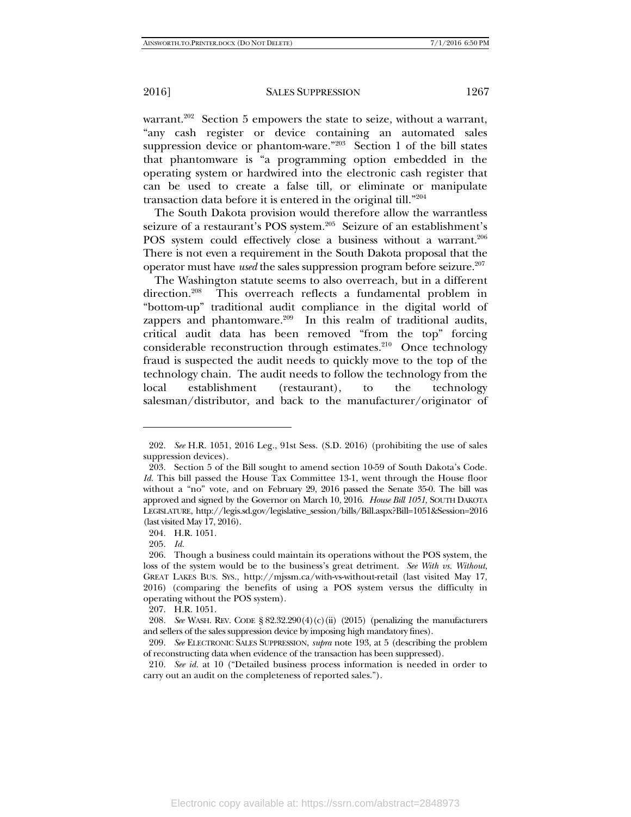warrant.<sup>202</sup> Section 5 empowers the state to seize, without a warrant, "any cash register or device containing an automated sales suppression device or phantom-ware." $203$  Section 1 of the bill states that phantomware is "a programming option embedded in the operating system or hardwired into the electronic cash register that can be used to create a false till, or eliminate or manipulate transaction data before it is entered in the original till."204

The South Dakota provision would therefore allow the warrantless seizure of a restaurant's POS system.<sup>205</sup> Seizure of an establishment's POS system could effectively close a business without a warrant.<sup>206</sup> There is not even a requirement in the South Dakota proposal that the operator must have *used* the sales suppression program before seizure.<sup>207</sup>

The Washington statute seems to also overreach, but in a different direction.<sup>208</sup> This overreach reflects a fundamental problem in "bottom-up" traditional audit compliance in the digital world of zappers and phantomware.<sup>209</sup> In this realm of traditional audits, critical audit data has been removed "from the top" forcing considerable reconstruction through estimates. $210$  Once technology fraud is suspected the audit needs to quickly move to the top of the technology chain. The audit needs to follow the technology from the local establishment (restaurant), to the technology salesman/distributor, and back to the manufacturer/originator of

205. *Id.* 

 <sup>202.</sup> *See* H.R. 1051, 2016 Leg., 91st Sess. (S.D. 2016) (prohibiting the use of sales suppression devices).

 <sup>203.</sup> Section 5 of the Bill sought to amend section 10-59 of South Dakota's Code. *Id.* This bill passed the House Tax Committee 13-1, went through the House floor without a "no" vote, and on February 29, 2016 passed the Senate 35-0. The bill was approved and signed by the Governor on March 10, 2016. *House Bill 1051*, SOUTH DAKOTA LEGISLATURE, http://legis.sd.gov/legislative\_session/bills/Bill.aspx?Bill=1051&Session=2016 (last visited May 17, 2016).

 <sup>204.</sup> H.R. 1051.

 <sup>206.</sup> Though a business could maintain its operations without the POS system, the loss of the system would be to the business's great detriment. *See With vs. Without*, GREAT LAKES BUS. SYS., http://mjssm.ca/with-vs-without-retail (last visited May 17, 2016) (comparing the benefits of using a POS system versus the difficulty in operating without the POS system).

 <sup>207.</sup> H.R. 1051.

 <sup>208.</sup> *See* WASH. REV. CODE § 82.32.290(4)(c)(ii) (2015) (penalizing the manufacturers and sellers of the sales suppression device by imposing high mandatory fines).

 <sup>209.</sup> *See* ELECTRONIC SALES SUPPRESSION, *supra* note 193, at 5 (describing the problem of reconstructing data when evidence of the transaction has been suppressed).

 <sup>210.</sup> *See id.* at 10 ("Detailed business process information is needed in order to carry out an audit on the completeness of reported sales.").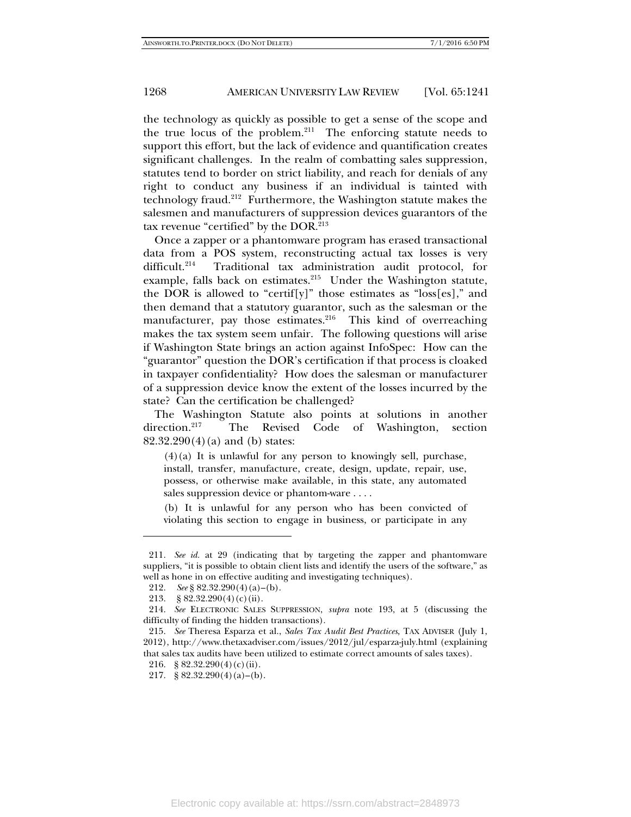the technology as quickly as possible to get a sense of the scope and the true locus of the problem.<sup>211</sup> The enforcing statute needs to support this effort, but the lack of evidence and quantification creates significant challenges. In the realm of combatting sales suppression, statutes tend to border on strict liability, and reach for denials of any right to conduct any business if an individual is tainted with technology fraud.212 Furthermore, the Washington statute makes the salesmen and manufacturers of suppression devices guarantors of the tax revenue "certified" by the DOR.<sup>213</sup>

Once a zapper or a phantomware program has erased transactional data from a POS system, reconstructing actual tax losses is very difficult.<sup>214</sup> Traditional tax administration audit protocol, for example, falls back on estimates.<sup>215</sup> Under the Washington statute, the DOR is allowed to "certif[y]" those estimates as "loss[es]," and then demand that a statutory guarantor, such as the salesman or the manufacturer, pay those estimates. $216$  This kind of overreaching makes the tax system seem unfair. The following questions will arise if Washington State brings an action against InfoSpec: How can the "guarantor" question the DOR's certification if that process is cloaked in taxpayer confidentiality? How does the salesman or manufacturer of a suppression device know the extent of the losses incurred by the state? Can the certification be challenged?

The Washington Statute also points at solutions in another direction.<sup>217</sup> The Revised Code of Washington, section 82.32.290(4)(a) and (b) states:

 $(4)(a)$  It is unlawful for any person to knowingly sell, purchase, install, transfer, manufacture, create, design, update, repair, use, possess, or otherwise make available, in this state, any automated sales suppression device or phantom-ware . . . .

(b) It is unlawful for any person who has been convicted of violating this section to engage in business, or participate in any

 <sup>211.</sup> *See id.* at 29 (indicating that by targeting the zapper and phantomware suppliers, "it is possible to obtain client lists and identify the users of the software," as well as hone in on effective auditing and investigating techniques).

 <sup>212.</sup> *See* § 82.32.290(4)(a)–(b).

 <sup>213. § 82.32.290(4)(</sup>c)(ii).

 <sup>214.</sup> *See* ELECTRONIC SALES SUPPRESSION, *supra* note 193, at 5 (discussing the difficulty of finding the hidden transactions).

 <sup>215.</sup> *See* Theresa Esparza et al., *Sales Tax Audit Best Practices*, TAX ADVISER (July 1, 2012), http://www.thetaxadviser.com/issues/2012/jul/esparza-july.html (explaining that sales tax audits have been utilized to estimate correct amounts of sales taxes).

 <sup>216. § 82.32.290(4)(</sup>c)(ii).

<sup>217. § 82.32.290(4)(</sup>a)–(b).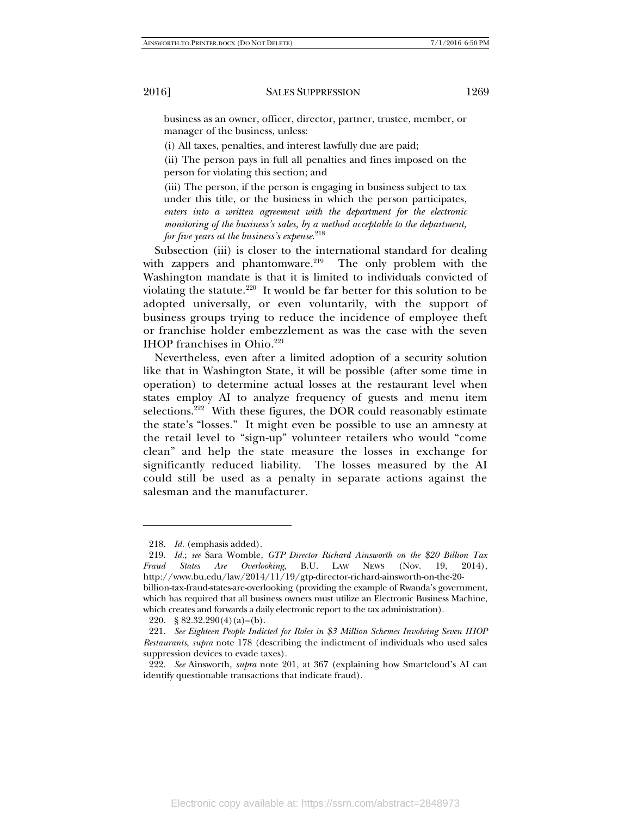business as an owner, officer, director, partner, trustee, member, or manager of the business, unless:

(i) All taxes, penalties, and interest lawfully due are paid;

(ii) The person pays in full all penalties and fines imposed on the person for violating this section; and

(iii) The person, if the person is engaging in business subject to tax under this title, or the business in which the person participates, *enters into a written agreement with the department for the electronic monitoring of the business's sales, by a method acceptable to the department, for five years at the business's expense*. 218

Subsection (iii) is closer to the international standard for dealing with zappers and phantomware. $219$  The only problem with the Washington mandate is that it is limited to individuals convicted of violating the statute.<sup>220</sup> It would be far better for this solution to be adopted universally, or even voluntarily, with the support of business groups trying to reduce the incidence of employee theft or franchise holder embezzlement as was the case with the seven IHOP franchises in Ohio.<sup>221</sup>

Nevertheless, even after a limited adoption of a security solution like that in Washington State, it will be possible (after some time in operation) to determine actual losses at the restaurant level when states employ AI to analyze frequency of guests and menu item selections.<sup>222</sup> With these figures, the DOR could reasonably estimate the state's "losses." It might even be possible to use an amnesty at the retail level to "sign-up" volunteer retailers who would "come clean" and help the state measure the losses in exchange for significantly reduced liability. The losses measured by the AI could still be used as a penalty in separate actions against the salesman and the manufacturer.

 <sup>218.</sup> *Id.* (emphasis added).

 <sup>219.</sup> *Id.*; *see* Sara Womble, *GTP Director Richard Ainsworth on the \$20 Billion Tax Fraud States Are Overlooking*, B.U. LAW NEWS (Nov. 19, 2014), http://www.bu.edu/law/2014/11/19/gtp-director-richard-ainsworth-on-the-20 billion-tax-fraud-states-are-overlooking (providing the example of Rwanda's government, which has required that all business owners must utilize an Electronic Business Machine,

which creates and forwards a daily electronic report to the tax administration).

<sup>220. § 82.32.290</sup> $(4)(a)$ – $(b)$ .

 <sup>221.</sup> *See Eighteen People Indicted for Roles in \$3 Million Schemes Involving Seven IHOP Restaurants*, *supra* note 178 (describing the indictment of individuals who used sales suppression devices to evade taxes).

 <sup>222.</sup> *See* Ainsworth, *supra* note 201, at 367 (explaining how Smartcloud's AI can identify questionable transactions that indicate fraud).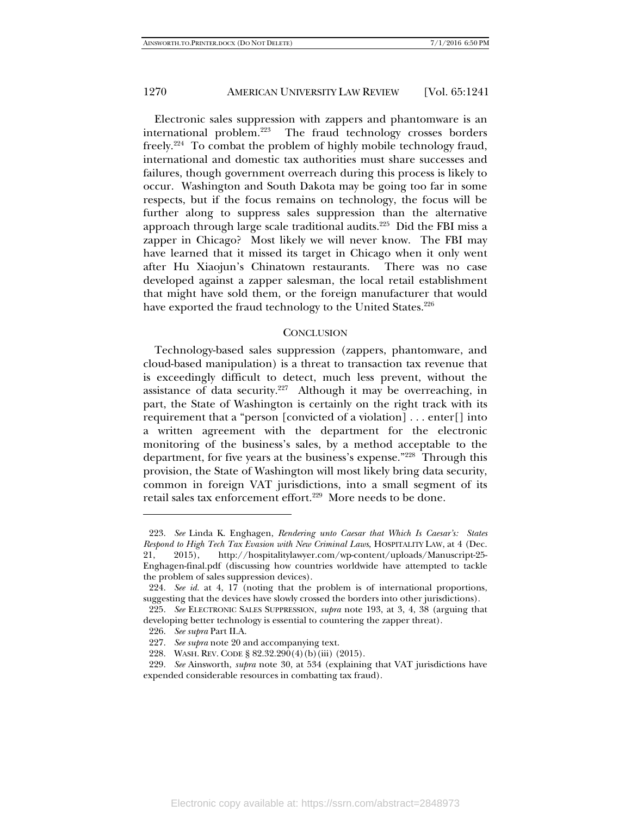Electronic sales suppression with zappers and phantomware is an international problem.223 The fraud technology crosses borders freely.224 To combat the problem of highly mobile technology fraud, international and domestic tax authorities must share successes and failures, though government overreach during this process is likely to occur. Washington and South Dakota may be going too far in some respects, but if the focus remains on technology, the focus will be further along to suppress sales suppression than the alternative approach through large scale traditional audits.225 Did the FBI miss a zapper in Chicago? Most likely we will never know. The FBI may have learned that it missed its target in Chicago when it only went after Hu Xiaojun's Chinatown restaurants. There was no case developed against a zapper salesman, the local retail establishment that might have sold them, or the foreign manufacturer that would have exported the fraud technology to the United States.<sup>226</sup>

#### **CONCLUSION**

Technology-based sales suppression (zappers, phantomware, and cloud-based manipulation) is a threat to transaction tax revenue that is exceedingly difficult to detect, much less prevent, without the assistance of data security. $227$  Although it may be overreaching, in part, the State of Washington is certainly on the right track with its requirement that a "person [convicted of a violation] . . . enter[] into a written agreement with the department for the electronic monitoring of the business's sales, by a method acceptable to the department, for five years at the business's expense."<sup>228</sup> Through this provision, the State of Washington will most likely bring data security, common in foreign VAT jurisdictions, into a small segment of its retail sales tax enforcement effort.<sup>229</sup> More needs to be done.

 <sup>223.</sup> *See* Linda K. Enghagen, *Rendering unto Caesar that Which Is Caesar's: States Respond to High Tech Tax Evasion with New Criminal Laws*, HOSPITALITY LAW, at 4 (Dec. 21, 2015), http://hospitalitylawyer.com/wp-content/uploads/Manuscript-25- Enghagen-final.pdf (discussing how countries worldwide have attempted to tackle the problem of sales suppression devices).

 <sup>224.</sup> *See id.* at 4, 17 (noting that the problem is of international proportions, suggesting that the devices have slowly crossed the borders into other jurisdictions).

 <sup>225.</sup> *See* ELECTRONIC SALES SUPPRESSION, *supra* note 193, at 3, 4, 38 (arguing that developing better technology is essential to countering the zapper threat).

 <sup>226.</sup> *See supra* Part II.A.

 <sup>227.</sup> *See supra* note 20 and accompanying text.

 <sup>228.</sup> WASH. REV. CODE § 82.32.290(4)(b)(iii) (2015).

 <sup>229.</sup> *See* Ainsworth, *supra* note 30, at 534 (explaining that VAT jurisdictions have expended considerable resources in combatting tax fraud).